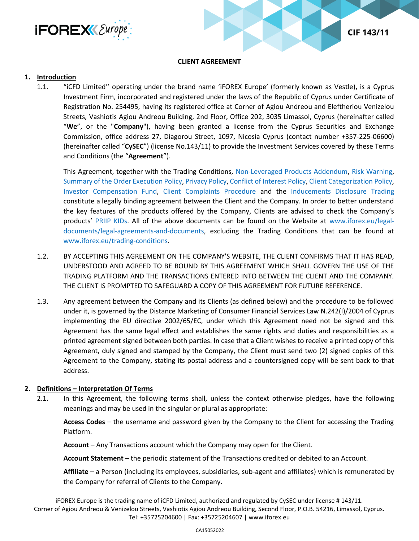



#### **CLIENT AGREEMENT**

#### **1. Introduction**

1.1. "iCFD Limited'' operating under the brand name 'iFOREX Europe' (formerly known as Vestle), is a Cyprus Investment Firm, incorporated and registered under the laws of the Republic of Cyprus under Certificate of Registration No. 254495, having its registered office at Corner of Agiou Andreou and Eleftheriou Venizelou Streets, Vashiotis Agiou Andreou Building, 2nd Floor, Office 202, 3035 Limassol, Cyprus (hereinafter called "**We**", or the "**Company**"), having been granted a license from the Cyprus Securities and Exchange Commission, office address 27, Diagorou Street, 1097, Nicosia Cyprus (contact number +357-225-06600) (hereinafter called "**CySEC**") (license No.143/11) to provide the Investment Services covered by these Terms and Conditions (the "**Agreement**").

This Agreement, together with the Trading Conditions, [Non-Leveraged Products Addendum,](https://www.iforex.eu/legal/non-leveraged-products-addendum.pdf) [Risk Warning,](https://www.iforex.eu/legal/risk-warning.pdf) [Summary of the Order Execution Policy,](https://www.iforex.eu/legal/order-execution-policy.pdf) [Privacy Policy,](https://www.iforex.eu/legal/privacy-policy.pdf) [Conflict of Interest Policy,](https://www.iforex.eu/legal/conflicts-of-interest-policy.pdf) [Client Categorization Policy,](https://www.iforex.eu/legal/client-categorization-policy.pdf) [Investor Compensation Fund,](https://www.iforex.eu/legal/investor-compensation-fund.pdf) [Client Complaints Procedure](https://www.iforex.eu/legal/client-complaints-procedure.pdf) and the [Inducements Disclosure](https://www.iforex.eu/legal/inducements-disclosure.pdf) [Trading](https://www.vestle.com/legal/end-user-license-agreement.pdf) constitute a legally binding agreement between the Client and the Company. In order to better understand the key features of the products offered by the Company, Clients are advised to check the Company's products' [PRIIP KIDs.](https://www.iforex.eu/legal-documents/legal-agreements-and-documents#priip-kids) All of the above documents can be found on the Website at [www.iforex.eu/legal](https://www.iforex.eu/legal-documents/legal-agreements-and-documents)[documents/legal-agreements-and-documents,](https://www.iforex.eu/legal-documents/legal-agreements-and-documents) excluding the Trading Conditions that can be found at [www.iforex.eu/trading-conditions.](https://www.iforex.eu/trading-conditions)

- 1.2. BY ACCEPTING THIS AGREEMENT ON THE COMPANY'S WEBSITE, THE CLIENT CONFIRMS THAT IT HAS READ, UNDERSTOOD AND AGREED TO BE BOUND BY THIS AGREEMENT WHICH SHALL GOVERN THE USE OF THE TRADING PLATFORM AND THE TRANSACTIONS ENTERED INTO BETWEEN THE CLIENT AND THE COMPANY. THE CLIENT IS PROMPTED TO SAFEGUARD A COPY OF THIS AGREEMENT FOR FUTURE REFERENCE.
- 1.3. Any agreement between the Company and its Clients (as defined below) and the procedure to be followed under it, is governed by the Distance Marketing of Consumer Financial Services Law N.242(I)/2004 of Cyprus implementing the EU directive 2002/65/EC, under which this Agreement need not be signed and this Agreement has the same legal effect and establishes the same rights and duties and responsibilities as a printed agreement signed between both parties. In case that a Client wishes to receive a printed copy of this Agreement, duly signed and stamped by the Company, the Client must send two (2) signed copies of this Agreement to the Company, stating its postal address and a countersigned copy will be sent back to that address.

#### **2. Definitions – Interpretation Of Terms**

2.1. In this Agreement, the following terms shall, unless the context otherwise pledges, have the following meanings and may be used in the singular or plural as appropriate:

**Access Codes** – the username and password given by the Company to the Client for accessing the Trading Platform.

**Account** – Any Transactions account which the Company may open for the Client.

**Account Statement** – the periodic statement of the Transactions credited or debited to an Account.

**Affiliate** – a Person (including its employees, subsidiaries, sub-agent and affiliates) which is remunerated by the Company for referral of Clients to the Company.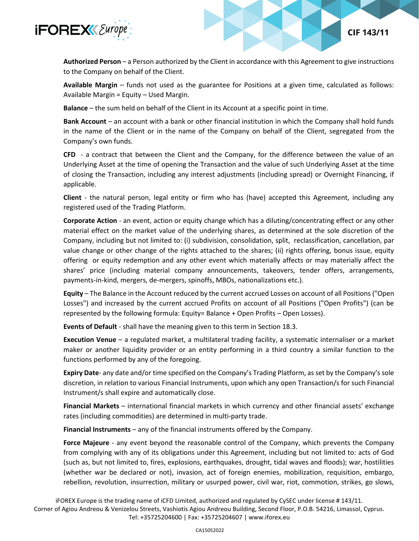

**Authorized Person** – a Person authorized by the Client in accordance with this Agreement to give instructions to the Company on behalf of the Client.

**CIF 143/11** 

**Available Margin** – funds not used as the guarantee for Positions at a given time, calculated as follows: Available Margin = Equity – Used Margin.

**Balance** – the sum held on behalf of the Client in its Account at a specific point in time.

**Bank Account** – an account with a bank or other financial institution in which the Company shall hold funds in the name of the Client or in the name of the Company on behalf of the Client, segregated from the Company's own funds.

**CFD** - a contract that between the Client and the Company, for the difference between the value of an Underlying Asset at the time of opening the Transaction and the value of such Underlying Asset at the time of closing the Transaction, including any interest adjustments (including spread) or Overnight Financing, if applicable.

**Client** - the natural person, legal entity or firm who has (have) accepted this Agreement, including any registered used of the Trading Platform.

**Corporate Action** - an event, action or equity change which has a diluting/concentrating effect or any other material effect on the market value of the underlying shares, as determined at the sole discretion of the Company, including but not limited to: (i) subdivision, consolidation, split, reclassification, cancellation, par value change or other change of the rights attached to the shares; (ii) rights offering, bonus issue, equity offering or equity redemption and any other event which materially affects or may materially affect the shares' price (including material company announcements, takeovers, tender offers, arrangements, payments-in-kind, mergers, de-mergers, spinoffs, MBOs, nationalizations etc.).

**Equity** – The Balance in the Account reduced by the current accrued Losses on account of all Positions ("Open Losses") and increased by the current accrued Profits on account of all Positions ("Open Profits") (can be represented by the following formula: Equity= Balance + Open Profits – Open Losses).

**Events of Default** - shall have the meaning given to this term in Section 18.3.

**Execution Venue** – a regulated market, a multilateral trading facility, a systematic internaliser or a market maker or another liquidity provider or an entity performing in a third country a similar function to the functions performed by any of the foregoing.

**Expiry Date**- any date and/or time specified on the Company's Trading Platform, as set by the Company's sole discretion, in relation to various Financial Instruments, upon which any open Transaction/s for such Financial Instrument/s shall expire and automatically close.

**Financial Markets** – international financial markets in which currency and other financial assets' exchange rates (including commodities) are determined in multi-party trade.

**Financial Instruments** – any of the financial instruments offered by the Company.

**Force Majeure** - any event beyond the reasonable control of the Company, which prevents the Company from complying with any of its obligations under this Agreement, including but not limited to: acts of God (such as, but not limited to, fires, explosions, earthquakes, drought, tidal waves and floods); war, hostilities (whether war be declared or not), invasion, act of foreign enemies, mobilization, requisition, embargo, rebellion, revolution, insurrection, military or usurped power, civil war, riot, commotion, strikes, go slows,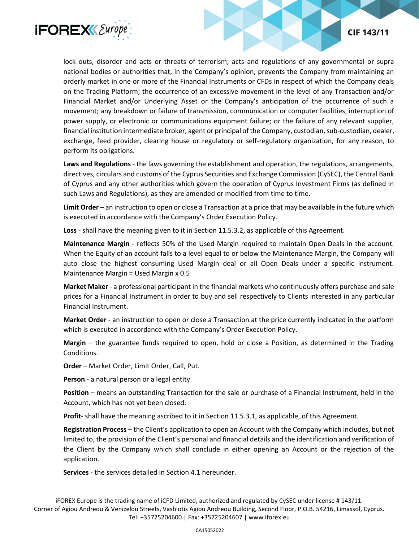

lock outs, disorder and acts or threats of terrorism; acts and regulations of any governmental or supra national bodies or authorities that, in the Company's opinion, prevents the Company from maintaining an orderly market in one or more of the Financial Instruments or CFDs in respect of which the Company deals on the Trading Platform; the occurrence of an excessive movement in the level of any Transaction and/or Financial Market and/or Underlying Asset or the Company's anticipation of the occurrence of such a movement; any breakdown or failure of transmission, communication or computer facilities, interruption of power supply, or electronic or communications equipment failure; or the failure of any relevant supplier, financial institution intermediate broker, agent or principal of the Company, custodian, sub-custodian, dealer, exchange, feed provider, clearing house or regulatory or self-regulatory organization, for any reason, to perform its obligations.

**Laws and Regulations** - the laws governing the establishment and operation, the regulations, arrangements, directives, circulars and customs of the Cyprus Securities and Exchange Commission (CySEC), the Central Bank of Cyprus and any other authorities which govern the operation of Cyprus Investment Firms (as defined in such Laws and Regulations), as they are amended or modified from time to time.

**Limit Order** – an instruction to open or close a Transaction at a price that may be available in the future which is executed in accordance with the Company's Order Execution Policy.

**Loss** - shall have the meaning given to it in Section 11.5.3.2, as applicable of this Agreement.

**Maintenance Margin** - reflects 50% of the Used Margin required to maintain Open Deals in the account. When the Equity of an account falls to a level equal to or below the Maintenance Margin, the Company will auto close the highest consuming Used Margin deal or all Open Deals under a specific instrument. Maintenance Margin = Used Margin x 0.5

**Market Maker** - a professional participant in the financial markets who continuously offers purchase and sale prices for a Financial Instrument in order to buy and sell respectively to Clients interested in any particular Financial Instrument.

**Market Order** - an instruction to open or close a Transaction at the price currently indicated in the platform which is executed in accordance with the Company's Order Execution Policy.

**Margin** – the guarantee funds required to open, hold or close a Position, as determined in the Trading Conditions.

**Order** – Market Order, Limit Order, Call, Put.

**Person** - a natural person or a legal entity.

**Position** – means an outstanding Transaction for the sale or purchase of a Financial Instrument, held in the Account, which has not yet been closed.

**Profit**- shall have the meaning ascribed to it in Section 11.5.3.1, as applicable, of this Agreement.

**Registration Process** – the Client's application to open an Account with the Company which includes, but not limited to, the provision of the Client's personal and financial details and the identification and verification of the Client by the Company which shall conclude in either opening an Account or the rejection of the application.

**Services** - the services detailed in Section 4.1 hereunder.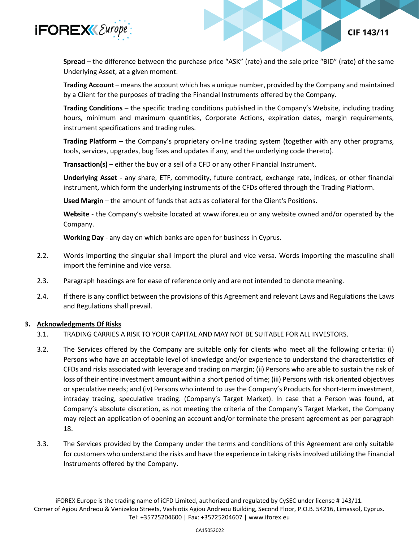

**Spread** – the difference between the purchase price "ASK" (rate) and the sale price "BID" (rate) of the same Underlying Asset, at a given moment.

**CIF 143/11** 

**Trading Account** – means the account which has a unique number, provided by the Company and maintained by a Client for the purposes of trading the Financial Instruments offered by the Company.

**Trading Conditions** – the specific trading conditions published in the Company's Website, including trading hours, minimum and maximum quantities, Corporate Actions, expiration dates, margin requirements, instrument specifications and trading rules.

**Trading Platform** – the Company's proprietary on-line trading system (together with any other programs, tools, services, upgrades, bug fixes and updates if any, and the underlying code thereto).

**Transaction(s)** – either the buy or a sell of a CFD or any other Financial Instrument.

**Underlying Asset** - any share, ETF, commodity, future contract, exchange rate, indices, or other financial instrument, which form the underlying instruments of the CFDs offered through the Trading Platform.

**Used Margin** – the amount of funds that acts as collateral for the Client's Positions.

**Website** - the Company's website located at www.iforex.eu or any website owned and/or operated by the Company.

**Working Day** - any day on which banks are open for business in Cyprus.

- 2.2. Words importing the singular shall import the plural and vice versa. Words importing the masculine shall import the feminine and vice versa.
- 2.3. Paragraph headings are for ease of reference only and are not intended to denote meaning.
- 2.4. If there is any conflict between the provisions of this Agreement and relevant Laws and Regulations the Laws and Regulations shall prevail.

## **3. Acknowledgments Of Risks**

- 3.1. TRADING CARRIES A RISK TO YOUR CAPITAL AND MAY NOT BE SUITABLE FOR ALL INVESTORS.
- 3.2. The Services offered by the Company are suitable only for clients who meet all the following criteria: (i) Persons who have an acceptable level of knowledge and/or experience to understand the characteristics of CFDs and risks associated with leverage and trading on margin; (ii) Persons who are able to sustain the risk of loss of their entire investment amount within a short period of time; (iii) Persons with risk oriented objectives or speculative needs; and (iv) Persons who intend to use the Company's Products for short-term investment, intraday trading, speculative trading. (Company's Target Market). In case that a Person was found, at Company's absolute discretion, as not meeting the criteria of the Company's Target Market, the Company may reject an application of opening an account and/or terminate the present agreement as per paragraph 18.
- 3.3. The Services provided by the Company under the terms and conditions of this Agreement are only suitable for customers who understand the risks and have the experience in taking risks involved utilizing the Financial Instruments offered by the Company.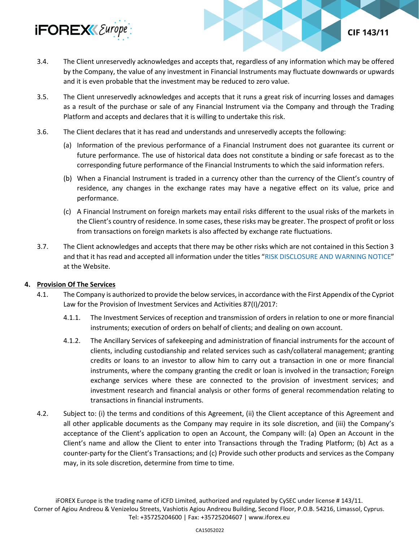

**CIF 143/11** 

- 3.5. The Client unreservedly acknowledges and accepts that it runs a great risk of incurring losses and damages as a result of the purchase or sale of any Financial Instrument via the Company and through the Trading Platform and accepts and declares that it is willing to undertake this risk.
- 3.6. The Client declares that it has read and understands and unreservedly accepts the following:
	- (a) Information of the previous performance of a Financial Instrument does not guarantee its current or future performance. The use of historical data does not constitute a binding or safe forecast as to the corresponding future performance of the Financial Instruments to which the said information refers.
	- (b) When a Financial Instrument is traded in a currency other than the currency of the Client's country of residence, any changes in the exchange rates may have a negative effect on its value, price and performance.
	- (c) A Financial Instrument on foreign markets may entail risks different to the usual risks of the markets in the Client's country of residence. In some cases, these risks may be greater. The prospect of profit or loss from transactions on foreign markets is also affected by exchange rate fluctuations.
- 3.7. The Client acknowledges and accepts that there may be other risks which are not contained in this Section 3 and that it has read and accepted all information under the titles "[RISK DISCLOSURE AND WARNING NOTICE](https://www.iforex.eu/legal/risk-warning.pdf)" at the Website.

## **4. Provision Of The Services**

- 4.1. The Company is authorized to provide the below services, in accordance with the First Appendix of the Cypriot Law for the Provision of Investment Services and Activities 87(I)/2017:
	- 4.1.1. The Investment Services of reception and transmission of orders in relation to one or more financial instruments; execution of orders on behalf of clients; and dealing on own account.
	- 4.1.2. The Ancillary Services of safekeeping and administration of financial instruments for the account of clients, including custodianship and related services such as cash/collateral management; granting credits or loans to an investor to allow him to carry out a transaction in one or more financial instruments, where the company granting the credit or loan is involved in the transaction; Foreign exchange services where these are connected to the provision of investment services; and investment research and financial analysis or other forms of general recommendation relating to transactions in financial instruments.
- 4.2. Subject to: (i) the terms and conditions of this Agreement, (ii) the Client acceptance of this Agreement and all other applicable documents as the Company may require in its sole discretion, and (iii) the Company's acceptance of the Client's application to open an Account, the Company will: (a) Open an Account in the Client's name and allow the Client to enter into Transactions through the Trading Platform; (b) Act as a counter-party for the Client's Transactions; and (c) Provide such other products and services as the Company may, in its sole discretion, determine from time to time.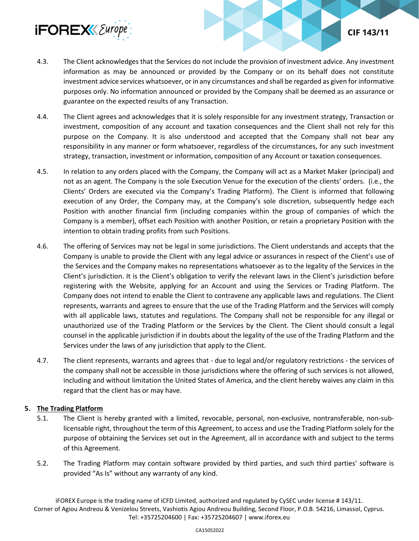

- 4.3. The Client acknowledges that the Services do not include the provision of investment advice. Any investment information as may be announced or provided by the Company or on its behalf does not constitute investment advice services whatsoever, or in any circumstances and shall be regarded as given for informative purposes only. No information announced or provided by the Company shall be deemed as an assurance or guarantee on the expected results of any Transaction.
- 4.4. The Client agrees and acknowledges that it is solely responsible for any investment strategy, Transaction or investment, composition of any account and taxation consequences and the Client shall not rely for this purpose on the Company. It is also understood and accepted that the Company shall not bear any responsibility in any manner or form whatsoever, regardless of the circumstances, for any such investment strategy, transaction, investment or information, composition of any Account or taxation consequences.
- 4.5. In relation to any orders placed with the Company, the Company will act as a Market Maker (principal) and not as an agent. The Company is the sole Execution Venue for the execution of the clients' orders. (i.e., the Clients' Orders are executed via the Company's Trading Platform). The Client is informed that following execution of any Order, the Company may, at the Company's sole discretion, subsequently hedge each Position with another financial firm (including companies within the group of companies of which the Company is a member), offset each Position with another Position, or retain a proprietary Position with the intention to obtain trading profits from such Positions.
- 4.6. The offering of Services may not be legal in some jurisdictions. The Client understands and accepts that the Company is unable to provide the Client with any legal advice or assurances in respect of the Client's use of the Services and the Company makes no representations whatsoever as to the legality of the Services in the Client's jurisdiction. It is the Client's obligation to verify the relevant laws in the Client's jurisdiction before registering with the Website, applying for an Account and using the Services or Trading Platform. The Company does not intend to enable the Client to contravene any applicable laws and regulations. The Client represents, warrants and agrees to ensure that the use of the Trading Platform and the Services will comply with all applicable laws, statutes and regulations. The Company shall not be responsible for any illegal or unauthorized use of the Trading Platform or the Services by the Client. The Client should consult a legal counsel in the applicable jurisdiction if in doubts about the legality of the use of the Trading Platform and the Services under the laws of any jurisdiction that apply to the Client.
- 4.7. The client represents, warrants and agrees that due to legal and/or regulatory restrictions the services of the company shall not be accessible in those jurisdictions where the offering of such services is not allowed, including and without limitation the United States of America, and the client hereby waives any claim in this regard that the client has or may have.

## **5. The Trading Platform**

- 5.1. The Client is hereby granted with a limited, revocable, personal, non-exclusive, nontransferable, non-sublicensable right, throughout the term of this Agreement, to access and use the Trading Platform solely for the purpose of obtaining the Services set out in the Agreement, all in accordance with and subject to the terms of this Agreement.
- 5.2. The Trading Platform may contain software provided by third parties, and such third parties' software is provided "As Is" without any warranty of any kind.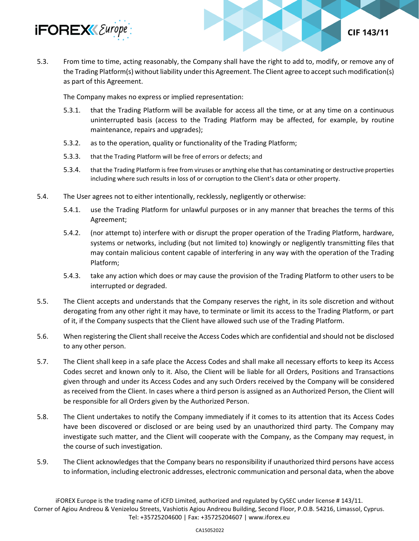

5.3. From time to time, acting reasonably, the Company shall have the right to add to, modify, or remove any of the Trading Platform(s) without liability under this Agreement. The Client agree to accept such modification(s) as part of this Agreement.

The Company makes no express or implied representation:

5.3.1. that the Trading Platform will be available for access all the time, or at any time on a continuous uninterrupted basis (access to the Trading Platform may be affected, for example, by routine maintenance, repairs and upgrades);

**CIF 143/11** 

- 5.3.2. as to the operation, quality or functionality of the Trading Platform;
- 5.3.3. that the Trading Platform will be free of errors or defects; and
- 5.3.4. that the Trading Platform is free from viruses or anything else that has contaminating or destructive properties including where such results in loss of or corruption to the Client's data or other property.
- 5.4. The User agrees not to either intentionally, recklessly, negligently or otherwise:
	- 5.4.1. use the Trading Platform for unlawful purposes or in any manner that breaches the terms of this Agreement;
	- 5.4.2. (nor attempt to) interfere with or disrupt the proper operation of the Trading Platform, hardware, systems or networks, including (but not limited to) knowingly or negligently transmitting files that may contain malicious content capable of interfering in any way with the operation of the Trading Platform;
	- 5.4.3. take any action which does or may cause the provision of the Trading Platform to other users to be interrupted or degraded.
- 5.5. The Client accepts and understands that the Company reserves the right, in its sole discretion and without derogating from any other right it may have, to terminate or limit its access to the Trading Platform, or part of it, if the Company suspects that the Client have allowed such use of the Trading Platform.
- 5.6. When registering the Client shall receive the Access Codes which are confidential and should not be disclosed to any other person.
- 5.7. The Client shall keep in a safe place the Access Codes and shall make all necessary efforts to keep its Access Codes secret and known only to it. Also, the Client will be liable for all Orders, Positions and Transactions given through and under its Access Codes and any such Orders received by the Company will be considered as received from the Client. In cases where a third person is assigned as an Authorized Person, the Client will be responsible for all Orders given by the Authorized Person.
- 5.8. The Client undertakes to notify the Company immediately if it comes to its attention that its Access Codes have been discovered or disclosed or are being used by an unauthorized third party. The Company may investigate such matter, and the Client will cooperate with the Company, as the Company may request, in the course of such investigation.
- 5.9. The Client acknowledges that the Company bears no responsibility if unauthorized third persons have access to information, including electronic addresses, electronic communication and personal data, when the above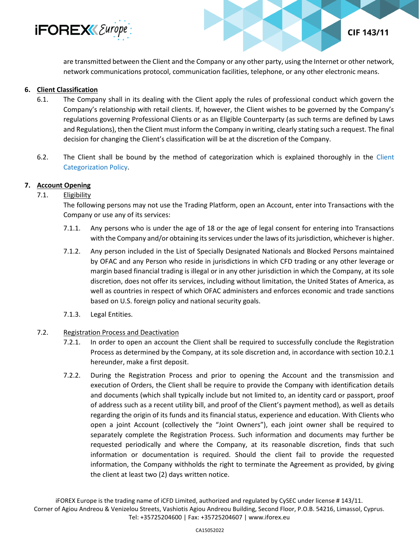

are transmitted between the Client and the Company or any other party, using the Internet or other network, network communications protocol, communication facilities, telephone, or any other electronic means.

CIF 143/11

## **6. Client Classification**

- 6.1. The Company shall in its dealing with the Client apply the rules of professional conduct which govern the Company's relationship with retail clients. If, however, the Client wishes to be governed by the Company's regulations governing Professional Clients or as an Eligible Counterparty (as such terms are defined by Laws and Regulations), then the Client must inform the Company in writing, clearly stating such a request. The final decision for changing the Client's classification will be at the discretion of the Company.
- 6.2. The Client shall be bound by the method of categorization which is explained thoroughly in the [Client](https://www.iforex.eu/legal/client-categorization-policy.pdf)  [Categorization Policy.](https://www.iforex.eu/legal/client-categorization-policy.pdf)

## **7. Account Opening**

## 7.1. **Eligibility**

The following persons may not use the Trading Platform, open an Account, enter into Transactions with the Company or use any of its services:

- 7.1.1. Any persons who is under the age of 18 or the age of legal consent for entering into Transactions with the Company and/or obtaining its services under the laws of its jurisdiction, whichever is higher.
- 7.1.2. Any person included in the List of Specially Designated Nationals and Blocked Persons maintained by OFAC and any Person who reside in jurisdictions in which CFD trading or any other leverage or margin based financial trading is illegal or in any other jurisdiction in which the Company, at its sole discretion, does not offer its services, including without limitation, the United States of America, as well as countries in respect of which OFAC administers and enforces economic and trade sanctions based on U.S. foreign policy and national security goals.
- 7.1.3. Legal Entities.

## 7.2. Registration Process and Deactivation

- 7.2.1. In order to open an account the Client shall be required to successfully conclude the Registration Process as determined by the Company, at its sole discretion and, in accordance with section 10.2.1 hereunder, make a first deposit.
- 7.2.2. During the Registration Process and prior to opening the Account and the transmission and execution of Orders, the Client shall be require to provide the Company with identification details and documents (which shall typically include but not limited to, an identity card or passport, proof of address such as a recent utility bill, and proof of the Client's payment method), as well as details regarding the origin of its funds and its financial status, experience and education. With Clients who open a joint Account (collectively the "Joint Owners"), each joint owner shall be required to separately complete the Registration Process. Such information and documents may further be requested periodically and where the Company, at its reasonable discretion, finds that such information or documentation is required. Should the client fail to provide the requested information, the Company withholds the right to terminate the Agreement as provided, by giving the client at least two (2) days written notice.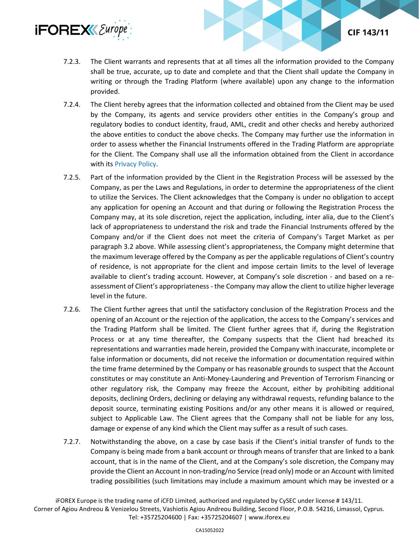

7.2.3. The Client warrants and represents that at all times all the information provided to the Company shall be true, accurate, up to date and complete and that the Client shall update the Company in writing or through the Trading Platform (where available) upon any change to the information provided.

**CIF 143/11** 

- 7.2.4. The Client hereby agrees that the information collected and obtained from the Client may be used by the Company, its agents and service providers other entities in the Company's group and regulatory bodies to conduct identity, fraud, AML, credit and other checks and hereby authorized the above entities to conduct the above checks. The Company may further use the information in order to assess whether the Financial Instruments offered in the Trading Platform are appropriate for the Client. The Company shall use all the information obtained from the Client in accordance with it[s Privacy Policy.](https://www.iforex.eu/legal/privacy-policy.pdf)
- 7.2.5. Part of the information provided by the Client in the Registration Process will be assessed by the Company, as per the Laws and Regulations, in order to determine the appropriateness of the client to utilize the Services. The Client acknowledges that the Company is under no obligation to accept any application for opening an Account and that during or following the Registration Process the Company may, at its sole discretion, reject the application, including, inter alia, due to the Client's lack of appropriateness to understand the risk and trade the Financial Instruments offered by the Company and/or if the Client does not meet the criteria of Company's Target Market as per paragraph 3.2 above. While assessing client's appropriateness, the Company might determine that the maximum leverage offered by the Company as per the applicable regulations of Client's country of residence, is not appropriate for the client and impose certain limits to the level of leverage available to client's trading account. However, at Company's sole discretion - and based on a reassessment of Client's appropriateness - the Company may allow the client to utilize higher leverage level in the future.
- 7.2.6. The Client further agrees that until the satisfactory conclusion of the Registration Process and the opening of an Account or the rejection of the application, the access to the Company's services and the Trading Platform shall be limited. The Client further agrees that if, during the Registration Process or at any time thereafter, the Company suspects that the Client had breached its representations and warranties made herein, provided the Company with inaccurate, incomplete or false information or documents, did not receive the information or documentation required within the time frame determined by the Company or has reasonable grounds to suspect that the Account constitutes or may constitute an Anti-Money-Laundering and Prevention of Terrorism Financing or other regulatory risk, the Company may freeze the Account, either by prohibiting additional deposits, declining Orders, declining or delaying any withdrawal requests, refunding balance to the deposit source, terminating existing Positions and/or any other means it is allowed or required, subject to Applicable Law. The Client agrees that the Company shall not be liable for any loss, damage or expense of any kind which the Client may suffer as a result of such cases.
- 7.2.7. Notwithstanding the above, on a case by case basis if the Client's initial transfer of funds to the Company is being made from a bank account or through means of transfer that are linked to a bank account, that is in the name of the Client, and at the Company's sole discretion, the Company may provide the Client an Account in non-trading/no Service (read only) mode or an Account with limited trading possibilities (such limitations may include a maximum amount which may be invested or a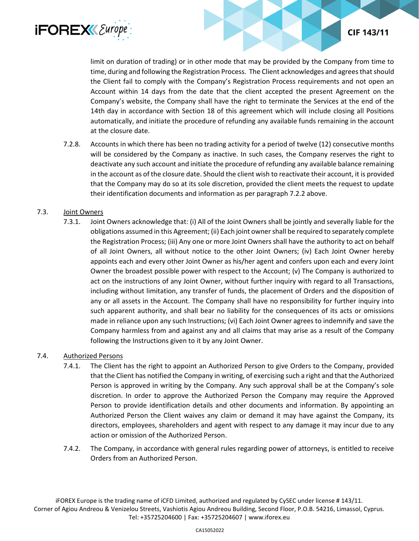

limit on duration of trading) or in other mode that may be provided by the Company from time to time, during and following the Registration Process. The Client acknowledges and agrees that should the Client fail to comply with the Company's Registration Process requirements and not open an Account within 14 days from the date that the client accepted the present Agreement on the Company's website, the Company shall have the right to terminate the Services at the end of the 14th day in accordance with Section 18 of this agreement which will include closing all Positions automatically, and initiate the procedure of refunding any available funds remaining in the account at the closure date.

7.2.8. Accounts in which there has been no trading activity for a period of twelve (12) consecutive months will be considered by the Company as inactive. In such cases, the Company reserves the right to deactivate any such account and initiate the procedure of refunding any available balance remaining in the account as of the closure date. Should the client wish to reactivate their account, it is provided that the Company may do so at its sole discretion, provided the client meets the request to update their identification documents and information as per paragraph 7.2.2 above.

# 7.3. Joint Owners

7.3.1. Joint Owners acknowledge that: (i) All of the Joint Owners shall be jointly and severally liable for the obligations assumed in this Agreement; (ii) Each joint owner shall be required to separately complete the Registration Process; (iii) Any one or more Joint Owners shall have the authority to act on behalf of all Joint Owners, all without notice to the other Joint Owners; (iv) Each Joint Owner hereby appoints each and every other Joint Owner as his/her agent and confers upon each and every Joint Owner the broadest possible power with respect to the Account; (v) The Company is authorized to act on the instructions of any Joint Owner, without further inquiry with regard to all Transactions, including without limitation, any transfer of funds, the placement of Orders and the disposition of any or all assets in the Account. The Company shall have no responsibility for further inquiry into such apparent authority, and shall bear no liability for the consequences of its acts or omissions made in reliance upon any such Instructions; (vi) Each Joint Owner agrees to indemnify and save the Company harmless from and against any and all claims that may arise as a result of the Company following the Instructions given to it by any Joint Owner.

## 7.4. Authorized Persons

- 7.4.1. The Client has the right to appoint an Authorized Person to give Orders to the Company, provided that the Client has notified the Company in writing, of exercising such a right and that the Authorized Person is approved in writing by the Company. Any such approval shall be at the Company's sole discretion. In order to approve the Authorized Person the Company may require the Approved Person to provide identification details and other documents and information. By appointing an Authorized Person the Client waives any claim or demand it may have against the Company, its directors, employees, shareholders and agent with respect to any damage it may incur due to any action or omission of the Authorized Person.
- 7.4.2. The Company, in accordance with general rules regarding power of attorneys, is entitled to receive Orders from an Authorized Person.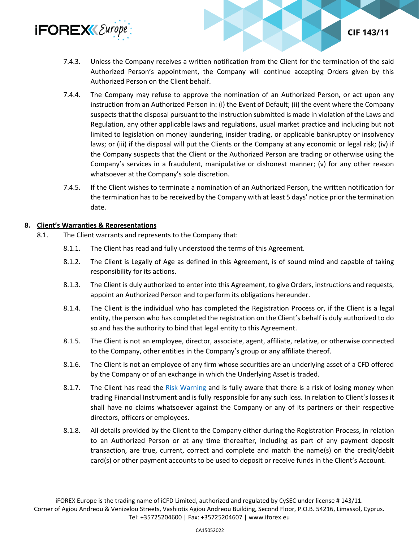

CIF 143/11

- 7.4.4. The Company may refuse to approve the nomination of an Authorized Person, or act upon any instruction from an Authorized Person in: (i) the Event of Default; (ii) the event where the Company suspects that the disposal pursuant to the instruction submitted is made in violation of the Laws and Regulation, any other applicable laws and regulations, usual market practice and including but not limited to legislation on money laundering, insider trading, or applicable bankruptcy or insolvency laws; or (iii) if the disposal will put the Clients or the Company at any economic or legal risk; (iv) if the Company suspects that the Client or the Authorized Person are trading or otherwise using the Company's services in a fraudulent, manipulative or dishonest manner; (v) for any other reason whatsoever at the Company's sole discretion.
- 7.4.5. If the Client wishes to terminate a nomination of an Authorized Person, the written notification for the termination has to be received by the Company with at least 5 days' notice prior the termination date.

## **8. Client's Warranties & Representations**

- 8.1. The Client warrants and represents to the Company that:
	- 8.1.1. The Client has read and fully understood the terms of this Agreement.
	- 8.1.2. The Client is Legally of Age as defined in this Agreement, is of sound mind and capable of taking responsibility for its actions.
	- 8.1.3. The Client is duly authorized to enter into this Agreement, to give Orders, instructions and requests, appoint an Authorized Person and to perform its obligations hereunder.
	- 8.1.4. The Client is the individual who has completed the Registration Process or, if the Client is a legal entity, the person who has completed the registration on the Client's behalf is duly authorized to do so and has the authority to bind that legal entity to this Agreement.
	- 8.1.5. The Client is not an employee, director, associate, agent, affiliate, relative, or otherwise connected to the Company, other entities in the Company's group or any affiliate thereof.
	- 8.1.6. The Client is not an employee of any firm whose securities are an underlying asset of a CFD offered by the Company or of an exchange in which the Underlying Asset is traded.
	- 8.1.7. The Client has read the [Risk Warning](https://www.iforex.eu/legal/risk-warning.pdf) and is fully aware that there is a risk of losing money when trading Financial Instrument and is fully responsible for any such loss. In relation to Client's losses it shall have no claims whatsoever against the Company or any of its partners or their respective directors, officers or employees.
	- 8.1.8. All details provided by the Client to the Company either during the Registration Process, in relation to an Authorized Person or at any time thereafter, including as part of any payment deposit transaction, are true, current, correct and complete and match the name(s) on the credit/debit card(s) or other payment accounts to be used to deposit or receive funds in the Client's Account.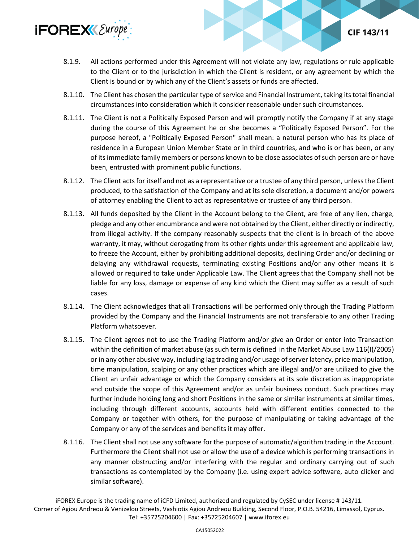

- 8.1.9. All actions performed under this Agreement will not violate any law, regulations or rule applicable to the Client or to the jurisdiction in which the Client is resident, or any agreement by which the Client is bound or by which any of the Client's assets or funds are affected.
- 8.1.10. The Client has chosen the particular type of service and Financial Instrument, taking its total financial circumstances into consideration which it consider reasonable under such circumstances.
- 8.1.11. The Client is not a Politically Exposed Person and will promptly notify the Company if at any stage during the course of this Agreement he or she becomes a "Politically Exposed Person". For the purpose hereof, a "Politically Exposed Person" shall mean: a natural person who has its place of residence in a European Union Member State or in third countries, and who is or has been, or any of its immediate family members or persons known to be close associates of such person are or have been, entrusted with prominent public functions.
- 8.1.12. The Client acts for itself and not as a representative or a trustee of any third person, unless the Client produced, to the satisfaction of the Company and at its sole discretion, a document and/or powers of attorney enabling the Client to act as representative or trustee of any third person.
- 8.1.13. All funds deposited by the Client in the Account belong to the Client, are free of any lien, charge, pledge and any other encumbrance and were not obtained by the Client, either directly or indirectly, from illegal activity. If the company reasonably suspects that the client is in breach of the above warranty, it may, without derogating from its other rights under this agreement and applicable law, to freeze the Account, either by prohibiting additional deposits, declining Order and/or declining or delaying any withdrawal requests, terminating existing Positions and/or any other means it is allowed or required to take under Applicable Law. The Client agrees that the Company shall not be liable for any loss, damage or expense of any kind which the Client may suffer as a result of such cases.
- 8.1.14. The Client acknowledges that all Transactions will be performed only through the Trading Platform provided by the Company and the Financial Instruments are not transferable to any other Trading Platform whatsoever.
- 8.1.15. The Client agrees not to use the Trading Platform and/or give an Order or enter into Transaction within the definition of market abuse (as such term is defined in the Market Abuse Law 116(I)/2005) or in any other abusive way, including lag trading and/or usage of server latency, price manipulation, time manipulation, scalping or any other practices which are illegal and/or are utilized to give the Client an unfair advantage or which the Company considers at its sole discretion as inappropriate and outside the scope of this Agreement and/or as unfair business conduct. Such practices may further include holding long and short Positions in the same or similar instruments at similar times, including through different accounts, accounts held with different entities connected to the Company or together with others, for the purpose of manipulating or taking advantage of the Company or any of the services and benefits it may offer.
- 8.1.16. The Client shall not use any software for the purpose of automatic/algorithm trading in the Account. Furthermore the Client shall not use or allow the use of a device which is performing transactions in any manner obstructing and/or interfering with the regular and ordinary carrying out of such transactions as contemplated by the Company (i.e. using expert advice software, auto clicker and similar software).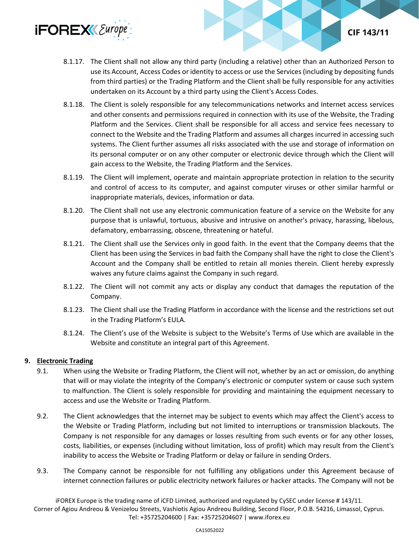

- 8.1.17. The Client shall not allow any third party (including a relative) other than an Authorized Person to use its Account, Access Codes or identity to access or use the Services (including by depositing funds from third parties) or the Trading Platform and the Client shall be fully responsible for any activities undertaken on its Account by a third party using the Client's Access Codes.
- 8.1.18. The Client is solely responsible for any telecommunications networks and Internet access services and other consents and permissions required in connection with its use of the Website, the Trading Platform and the Services. Client shall be responsible for all access and service fees necessary to connect to the Website and the Trading Platform and assumes all charges incurred in accessing such systems. The Client further assumes all risks associated with the use and storage of information on its personal computer or on any other computer or electronic device through which the Client will gain access to the Website, the Trading Platform and the Services.
- 8.1.19. The Client will implement, operate and maintain appropriate protection in relation to the security and control of access to its computer, and against computer viruses or other similar harmful or inappropriate materials, devices, information or data.
- 8.1.20. The Client shall not use any electronic communication feature of a service on the Website for any purpose that is unlawful, tortuous, abusive and intrusive on another's privacy, harassing, libelous, defamatory, embarrassing, obscene, threatening or hateful.
- 8.1.21. The Client shall use the Services only in good faith. In the event that the Company deems that the Client has been using the Services in bad faith the Company shall have the right to close the Client's Account and the Company shall be entitled to retain all monies therein. Client hereby expressly waives any future claims against the Company in such regard.
- 8.1.22. The Client will not commit any acts or display any conduct that damages the reputation of the Company.
- 8.1.23. The Client shall use the Trading Platform in accordance with the license and the restrictions set out in the Trading Platform's EULA.
- 8.1.24. The Client's use of the Website is subject to the Website's Terms of Use which are available in the Website and constitute an integral part of this Agreement.

# **9. Electronic Trading**

- 9.1. When using the Website or Trading Platform, the Client will not, whether by an act or omission, do anything that will or may violate the integrity of the Company's electronic or computer system or cause such system to malfunction. The Client is solely responsible for providing and maintaining the equipment necessary to access and use the Website or Trading Platform.
- 9.2. The Client acknowledges that the internet may be subject to events which may affect the Client's access to the Website or Trading Platform, including but not limited to interruptions or transmission blackouts. The Company is not responsible for any damages or losses resulting from such events or for any other losses, costs, liabilities, or expenses (including without limitation, loss of profit) which may result from the Client's inability to access the Website or Trading Platform or delay or failure in sending Orders.
- 9.3. The Company cannot be responsible for not fulfilling any obligations under this Agreement because of internet connection failures or public electricity network failures or hacker attacks. The Company will not be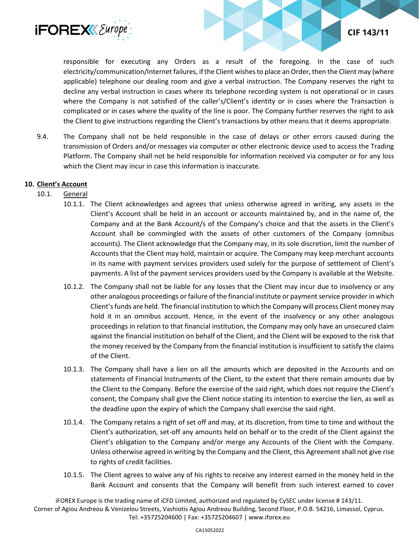

responsible for executing any Orders as a result of the foregoing. In the case of such electricity/communication/Internet failures, if the Client wishes to place an Order, then the Client may (where applicable) telephone our dealing room and give a verbal instruction. The Company reserves the right to decline any verbal instruction in cases where its telephone recording system is not operational or in cases where the Company is not satisfied of the caller's/Client's identity or in cases where the Transaction is complicated or in cases where the quality of the line is poor. The Company further reserves the right to ask the Client to give instructions regarding the Client's transactions by other means that it deems appropriate.

9.4. The Company shall not be held responsible in the case of delays or other errors caused during the transmission of Orders and/or messages via computer or other electronic device used to access the Trading Platform. The Company shall not be held responsible for information received via computer or for any loss which the Client may incur in case this information is inaccurate.

# **10. Client's Account**

# 10.1. General

- 10.1.1. The Client acknowledges and agrees that unless otherwise agreed in writing, any assets in the Client's Account shall be held in an account or accounts maintained by, and in the name of, the Company and at the Bank Account/s of the Company's choice and that the assets in the Client's Account shall be commingled with the assets of other customers of the Company (omnibus accounts). The Client acknowledge that the Company may, in its sole discretion, limit the number of Accounts that the Client may hold, maintain or acquire. The Company may keep merchant accounts in its name with payment services providers used solely for the purpose of settlement of Client's payments. A list of the payment services providers used by the Company is available at the Website.
- 10.1.2. The Company shall not be liable for any losses that the Client may incur due to insolvency or any other analogous proceedings or failure of the financial institute or payment service provider in which Client's funds are held. The financial institution to which the Company will process Client money may hold it in an omnibus account. Hence, in the event of the insolvency or any other analogous proceedings in relation to that financial institution, the Company may only have an unsecured claim against the financial institution on behalf of the Client, and the Client will be exposed to the risk that the money received by the Company from the financial institution is insufficient to satisfy the claims of the Client.
- 10.1.3. The Company shall have a lien on all the amounts which are deposited in the Accounts and on statements of Financial Instruments of the Client, to the extent that there remain amounts due by the Client to the Company. Before the exercise of the said right, which does not require the Client's consent, the Company shall give the Client notice stating its intention to exercise the lien, as well as the deadline upon the expiry of which the Company shall exercise the said right.
- 10.1.4. The Company retains a right of set off and may, at its discretion, from time to time and without the Client's authorization, set-off any amounts held on behalf or to the credit of the Client against the Client's obligation to the Company and/or merge any Accounts of the Client with the Company. Unless otherwise agreed in writing by the Company and the Client, this Agreement shall not give rise to rights of credit facilities.
- 10.1.5. The Client agrees to waive any of his rights to receive any interest earned in the money held in the Bank Account and consents that the Company will benefit from such interest earned to cover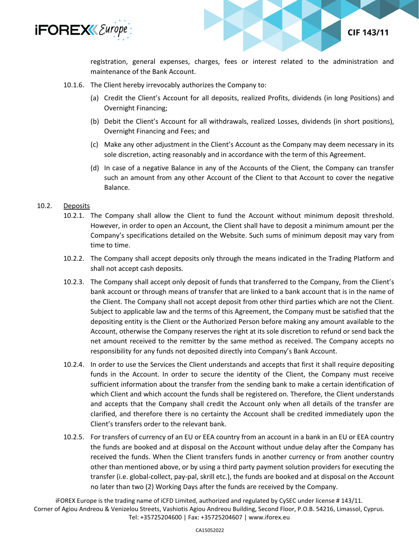

registration, general expenses, charges, fees or interest related to the administration and maintenance of the Bank Account.

**CIF 143/11** 

- 10.1.6. The Client hereby irrevocably authorizes the Company to:
	- (a) Credit the Client's Account for all deposits, realized Profits, dividends (in long Positions) and Overnight Financing;
	- (b) Debit the Client's Account for all withdrawals, realized Losses, dividends (in short positions), Overnight Financing and Fees; and
	- (c) Make any other adjustment in the Client's Account as the Company may deem necessary in its sole discretion, acting reasonably and in accordance with the term of this Agreement.
	- (d) In case of a negative Balance in any of the Accounts of the Client, the Company can transfer such an amount from any other Account of the Client to that Account to cover the negative Balance.

#### 10.2. Deposits

- 10.2.1. The Company shall allow the Client to fund the Account without minimum deposit threshold. However, in order to open an Account, the Client shall have to deposit a minimum amount per the Company's specifications detailed on the Website. Such sums of minimum deposit may vary from time to time.
- 10.2.2. The Company shall accept deposits only through the means indicated in the Trading Platform and shall not accept cash deposits.
- 10.2.3. The Company shall accept only deposit of funds that transferred to the Company, from the Client's bank account or through means of transfer that are linked to a bank account that is in the name of the Client. The Company shall not accept deposit from other third parties which are not the Client. Subject to applicable law and the terms of this Agreement, the Company must be satisfied that the depositing entity is the Client or the Authorized Person before making any amount available to the Account, otherwise the Company reserves the right at its sole discretion to refund or send back the net amount received to the remitter by the same method as received. The Company accepts no responsibility for any funds not deposited directly into Company's Bank Account.
- 10.2.4. In order to use the Services the Client understands and accepts that first it shall require depositing funds in the Account. In order to secure the identity of the Client, the Company must receive sufficient information about the transfer from the sending bank to make a certain identification of which Client and which account the funds shall be registered on. Therefore, the Client understands and accepts that the Company shall credit the Account only when all details of the transfer are clarified, and therefore there is no certainty the Account shall be credited immediately upon the Client's transfers order to the relevant bank.
- 10.2.5. For transfers of currency of an EU or EEA country from an account in a bank in an EU or EEA country the funds are booked and at disposal on the Account without undue delay after the Company has received the funds. When the Client transfers funds in another currency or from another country other than mentioned above, or by using a third party payment solution providers for executing the transfer (i.e. global-collect, pay-pal, skrill etc.), the funds are booked and at disposal on the Account no later than two (2) Working Days after the funds are received by the Company.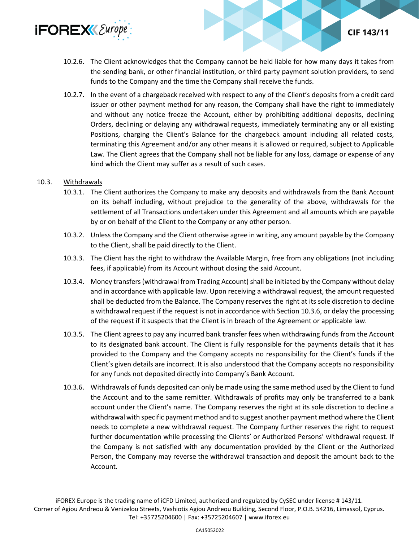

- 10.2.6. The Client acknowledges that the Company cannot be held liable for how many days it takes from the sending bank, or other financial institution, or third party payment solution providers, to send funds to the Company and the time the Company shall receive the funds.
- 10.2.7. In the event of a chargeback received with respect to any of the Client's deposits from a credit card issuer or other payment method for any reason, the Company shall have the right to immediately and without any notice freeze the Account, either by prohibiting additional deposits, declining Orders, declining or delaying any withdrawal requests, immediately terminating any or all existing Positions, charging the Client's Balance for the chargeback amount including all related costs, terminating this Agreement and/or any other means it is allowed or required, subject to Applicable Law. The Client agrees that the Company shall not be liable for any loss, damage or expense of any kind which the Client may suffer as a result of such cases.

## 10.3. Withdrawals

- 10.3.1. The Client authorizes the Company to make any deposits and withdrawals from the Bank Account on its behalf including, without prejudice to the generality of the above, withdrawals for the settlement of all Transactions undertaken under this Agreement and all amounts which are payable by or on behalf of the Client to the Company or any other person.
- 10.3.2. Unless the Company and the Client otherwise agree in writing, any amount payable by the Company to the Client, shall be paid directly to the Client.
- 10.3.3. The Client has the right to withdraw the Available Margin, free from any obligations (not including fees, if applicable) from its Account without closing the said Account.
- 10.3.4. Money transfers (withdrawal from Trading Account) shall be initiated by the Company without delay and in accordance with applicable law. Upon receiving a withdrawal request, the amount requested shall be deducted from the Balance. The Company reserves the right at its sole discretion to decline a withdrawal request if the request is not in accordance with Section 10.3.6, or delay the processing of the request if it suspects that the Client is in breach of the Agreement or applicable law.
- 10.3.5. The Client agrees to pay any incurred bank transfer fees when withdrawing funds from the Account to its designated bank account. The Client is fully responsible for the payments details that it has provided to the Company and the Company accepts no responsibility for the Client's funds if the Client's given details are incorrect. It is also understood that the Company accepts no responsibility for any funds not deposited directly into Company's Bank Account.
- 10.3.6. Withdrawals of funds deposited can only be made using the same method used by the Client to fund the Account and to the same remitter. Withdrawals of profits may only be transferred to a bank account under the Client's name. The Company reserves the right at its sole discretion to decline a withdrawal with specific payment method and to suggest another payment method where the Client needs to complete a new withdrawal request. The Company further reserves the right to request further documentation while processing the Clients' or Authorized Persons' withdrawal request. If the Company is not satisfied with any documentation provided by the Client or the Authorized Person, the Company may reverse the withdrawal transaction and deposit the amount back to the Account.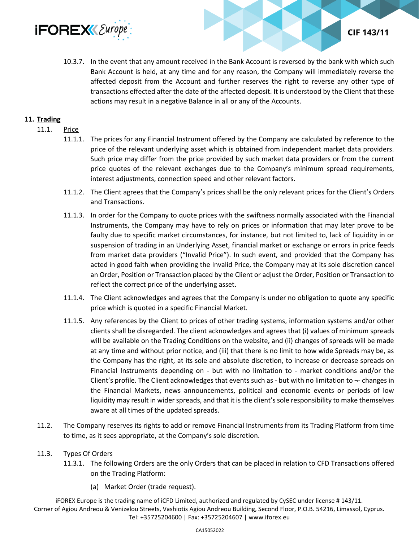

10.3.7. In the event that any amount received in the Bank Account is reversed by the bank with which such Bank Account is held, at any time and for any reason, the Company will immediately reverse the affected deposit from the Account and further reserves the right to reverse any other type of transactions effected after the date of the affected deposit. It is understood by the Client that these actions may result in a negative Balance in all or any of the Accounts.

**CIF 143/11** 

#### **11. Trading**

#### 11.1. Price

- 11.1.1. The prices for any Financial Instrument offered by the Company are calculated by reference to the price of the relevant underlying asset which is obtained from independent market data providers. Such price may differ from the price provided by such market data providers or from the current price quotes of the relevant exchanges due to the Company's minimum spread requirements, interest adjustments, connection speed and other relevant factors.
- 11.1.2. The Client agrees that the Company's prices shall be the only relevant prices for the Client's Orders and Transactions.
- 11.1.3. In order for the Company to quote prices with the swiftness normally associated with the Financial Instruments, the Company may have to rely on prices or information that may later prove to be faulty due to specific market circumstances, for instance, but not limited to, lack of liquidity in or suspension of trading in an Underlying Asset, financial market or exchange or errors in price feeds from market data providers ("Invalid Price"). In such event, and provided that the Company has acted in good faith when providing the Invalid Price, the Company may at its sole discretion cancel an Order, Position or Transaction placed by the Client or adjust the Order, Position or Transaction to reflect the correct price of the underlying asset.
- 11.1.4. The Client acknowledges and agrees that the Company is under no obligation to quote any specific price which is quoted in a specific Financial Market.
- 11.1.5. Any references by the Client to prices of other trading systems, information systems and/or other clients shall be disregarded. The client acknowledges and agrees that (i) values of minimum spreads will be available on the Trading Conditions on the website, and (ii) changes of spreads will be made at any time and without prior notice, and (iii) that there is no limit to how wide Spreads may be, as the Company has the right, at its sole and absolute discretion, to increase or decrease spreads on Financial Instruments depending on - but with no limitation to - market conditions and/or the Client's profile. The Client acknowledges that events such as - but with no limitation to  $\neg$ - changes in the Financial Markets, news announcements, political and economic events or periods of low liquidity may result in wider spreads, and that it is the client's sole responsibility to make themselves aware at all times of the updated spreads.
- 11.2. The Company reserves its rights to add or remove Financial Instruments from its Trading Platform from time to time, as it sees appropriate, at the Company's sole discretion.

#### 11.3. Types Of Orders

- 11.3.1. The following Orders are the only Orders that can be placed in relation to CFD Transactions offered on the Trading Platform:
	- (a) Market Order (trade request).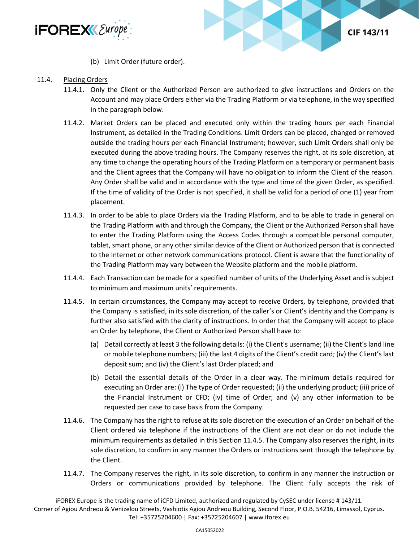



(b) Limit Order (future order).

#### 11.4. Placing Orders

- 11.4.1. Only the Client or the Authorized Person are authorized to give instructions and Orders on the Account and may place Orders either via the Trading Platform or via telephone, in the way specified in the paragraph below.
- 11.4.2. Market Orders can be placed and executed only within the trading hours per each Financial Instrument, as detailed in the Trading Conditions. Limit Orders can be placed, changed or removed outside the trading hours per each Financial Instrument; however, such Limit Orders shall only be executed during the above trading hours. The Company reserves the right, at its sole discretion, at any time to change the operating hours of the Trading Platform on a temporary or permanent basis and the Client agrees that the Company will have no obligation to inform the Client of the reason. Any Order shall be valid and in accordance with the type and time of the given Order, as specified. If the time of validity of the Order is not specified, it shall be valid for a period of one (1) year from placement.
- 11.4.3. In order to be able to place Orders via the Trading Platform, and to be able to trade in general on the Trading Platform with and through the Company, the Client or the Authorized Person shall have to enter the Trading Platform using the Access Codes through a compatible personal computer, tablet, smart phone, or any other similar device of the Client or Authorized person that is connected to the Internet or other network communications protocol. Client is aware that the functionality of the Trading Platform may vary between the Website platform and the mobile platform.
- 11.4.4. Each Transaction can be made for a specified number of units of the Underlying Asset and is subject to minimum and maximum units' requirements.
- 11.4.5. In certain circumstances, the Company may accept to receive Orders, by telephone, provided that the Company is satisfied, in its sole discretion, of the caller's or Client's identity and the Company is further also satisfied with the clarity of instructions. In order that the Company will accept to place an Order by telephone, the Client or Authorized Person shall have to:
	- (a) Detail correctly at least 3 the following details: (i) the Client's username; (ii) the Client's land line or mobile telephone numbers; (iii) the last 4 digits of the Client's credit card; (iv) the Client's last deposit sum; and (iv) the Client's last Order placed; and
	- (b) Detail the essential details of the Order in a clear way. The minimum details required for executing an Order are: (i) The type of Order requested; (ii) the underlying product; (iii) price of the Financial Instrument or CFD; (iv) time of Order; and (v) any other information to be requested per case to case basis from the Company.
- 11.4.6. The Company has the right to refuse at its sole discretion the execution of an Order on behalf of the Client ordered via telephone if the instructions of the Client are not clear or do not include the minimum requirements as detailed in this Section 11.4.5. The Company also reserves the right, in its sole discretion, to confirm in any manner the Orders or instructions sent through the telephone by the Client.
- 11.4.7. The Company reserves the right, in its sole discretion, to confirm in any manner the instruction or Orders or communications provided by telephone. The Client fully accepts the risk of

iFOREX Europe is the trading name of iCFD Limited, authorized and regulated by CySEC under license # 143/11.

Corner of Agiou Andreou & Venizelou Streets, Vashiotis Agiou Andreou Building, Second Floor, P.O.B. 54216, Limassol, Cyprus. Tel: +35725204600 | Fax: +35725204607 | www.iforex.eu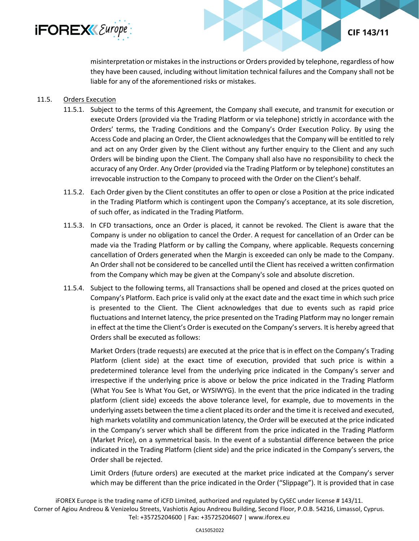

**CIF 143/11** 

misinterpretation or mistakes in the instructions or Orders provided by telephone, regardless of how they have been caused, including without limitation technical failures and the Company shall not be liable for any of the aforementioned risks or mistakes.

# 11.5. Orders Execution

- 11.5.1. Subject to the terms of this Agreement, the Company shall execute, and transmit for execution or execute Orders (provided via the Trading Platform or via telephone) strictly in accordance with the Orders' terms, the Trading Conditions and the Company's Order Execution Policy. By using the Access Code and placing an Order, the Client acknowledges that the Company will be entitled to rely and act on any Order given by the Client without any further enquiry to the Client and any such Orders will be binding upon the Client. The Company shall also have no responsibility to check the accuracy of any Order. Any Order (provided via the Trading Platform or by telephone) constitutes an irrevocable instruction to the Company to proceed with the Order on the Client's behalf.
- 11.5.2. Each Order given by the Client constitutes an offer to open or close a Position at the price indicated in the Trading Platform which is contingent upon the Company's acceptance, at its sole discretion, of such offer, as indicated in the Trading Platform.
- 11.5.3. In CFD transactions, once an Order is placed, it cannot be revoked. The Client is aware that the Company is under no obligation to cancel the Order. A request for cancellation of an Order can be made via the Trading Platform or by calling the Company, where applicable. Requests concerning cancellation of Orders generated when the Margin is exceeded can only be made to the Company. An Order shall not be considered to be cancelled until the Client has received a written confirmation from the Company which may be given at the Company's sole and absolute discretion.
- 11.5.4. Subject to the following terms, all Transactions shall be opened and closed at the prices quoted on Company's Platform. Each price is valid only at the exact date and the exact time in which such price is presented to the Client. The Client acknowledges that due to events such as rapid price fluctuations and Internet latency, the price presented on the Trading Platform may no longer remain in effect at the time the Client's Order is executed on the Company's servers. It is hereby agreed that Orders shall be executed as follows:

Market Orders (trade requests) are executed at the price that is in effect on the Company's Trading Platform (client side) at the exact time of execution, provided that such price is within a predetermined tolerance level from the underlying price indicated in the Company's server and irrespective if the underlying price is above or below the price indicated in the Trading Platform (What You See Is What You Get, or WYSIWYG). In the event that the price indicated in the trading platform (client side) exceeds the above tolerance level, for example, due to movements in the underlying assets between the time a client placed its order and the time it is received and executed, high markets volatility and communication latency, the Order will be executed at the price indicated in the Company's server which shall be different from the price indicated in the Trading Platform (Market Price), on a symmetrical basis. In the event of a substantial difference between the price indicated in the Trading Platform (client side) and the price indicated in the Company's servers, the Order shall be rejected.

Limit Orders (future orders) are executed at the market price indicated at the Company's server which may be different than the price indicated in the Order ("Slippage"). It is provided that in case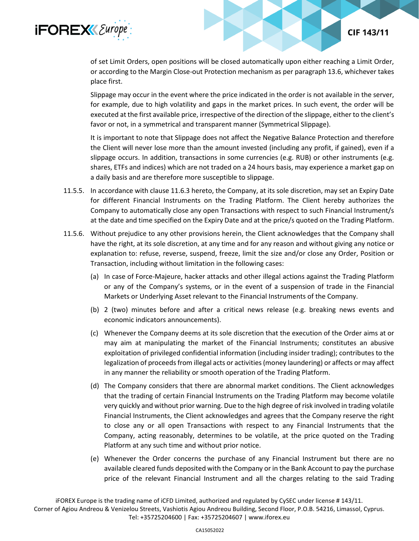

of set Limit Orders, open positions will be closed automatically upon either reaching a Limit Order, or according to the Margin Close-out Protection mechanism as per paragraph 13.6, whichever takes place first.

CIF 143/11

Slippage may occur in the event where the price indicated in the order is not available in the server, for example, due to high volatility and gaps in the market prices. In such event, the order will be executed at the first available price, irrespective of the direction of the slippage, either to the client's favor or not, in a symmetrical and transparent manner (Symmetrical Slippage).

It is important to note that Slippage does not affect the Negative Balance Protection and therefore the Client will never lose more than the amount invested (including any profit, if gained), even if a slippage occurs. In addition, transactions in some currencies (e.g. RUB) or other instruments (e.g. shares, ETFs and indices) which are not traded on a 24 hours basis, may experience a market gap on a daily basis and are therefore more susceptible to slippage.

- 11.5.5. In accordance with clause 11.6.3 hereto, the Company, at its sole discretion, may set an Expiry Date for different Financial Instruments on the Trading Platform. The Client hereby authorizes the Company to automatically close any open Transactions with respect to such Financial Instrument/s at the date and time specified on the Expiry Date and at the price/s quoted on the Trading Platform.
- 11.5.6. Without prejudice to any other provisions herein, the Client acknowledges that the Company shall have the right, at its sole discretion, at any time and for any reason and without giving any notice or explanation to: refuse, reverse, suspend, freeze, limit the size and/or close any Order, Position or Transaction, including without limitation in the following cases:
	- (a) In case of Force-Majeure, hacker attacks and other illegal actions against the Trading Platform or any of the Company's systems, or in the event of a suspension of trade in the Financial Markets or Underlying Asset relevant to the Financial Instruments of the Company.
	- (b) 2 (two) minutes before and after a critical news release (e.g. breaking news events and economic indicators announcements).
	- (c) Whenever the Company deems at its sole discretion that the execution of the Order aims at or may aim at manipulating the market of the Financial Instruments; constitutes an abusive exploitation of privileged confidential information (including insider trading); contributes to the legalization of proceeds from illegal acts or activities (money laundering) or affects or may affect in any manner the reliability or smooth operation of the Trading Platform.
	- (d) The Company considers that there are abnormal market conditions. The Client acknowledges that the trading of certain Financial Instruments on the Trading Platform may become volatile very quickly and without prior warning. Due to the high degree of risk involved in trading volatile Financial Instruments, the Client acknowledges and agrees that the Company reserve the right to close any or all open Transactions with respect to any Financial Instruments that the Company, acting reasonably, determines to be volatile, at the price quoted on the Trading Platform at any such time and without prior notice.
	- (e) Whenever the Order concerns the purchase of any Financial Instrument but there are no available cleared funds deposited with the Company or in the Bank Account to pay the purchase price of the relevant Financial Instrument and all the charges relating to the said Trading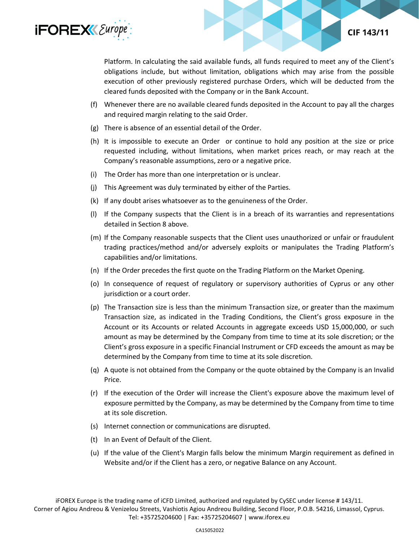

Platform. In calculating the said available funds, all funds required to meet any of the Client's obligations include, but without limitation, obligations which may arise from the possible execution of other previously registered purchase Orders, which will be deducted from the cleared funds deposited with the Company or in the Bank Account.

- (f) Whenever there are no available cleared funds deposited in the Account to pay all the charges and required margin relating to the said Order.
- (g) There is absence of an essential detail of the Order.
- (h) It is impossible to execute an Order or continue to hold any position at the size or price requested including, without limitations, when market prices reach, or may reach at the Company's reasonable assumptions, zero or a negative price.
- (i) The Order has more than one interpretation or is unclear.
- (j) This Agreement was duly terminated by either of the Parties.
- (k) If any doubt arises whatsoever as to the genuineness of the Order.
- (l) If the Company suspects that the Client is in a breach of its warranties and representations detailed in Section 8 above.
- (m) If the Company reasonable suspects that the Client uses unauthorized or unfair or fraudulent trading practices/method and/or adversely exploits or manipulates the Trading Platform's capabilities and/or limitations.
- (n) If the Order precedes the first quote on the Trading Platform on the Market Opening.
- (o) In consequence of request of regulatory or supervisory authorities of Cyprus or any other jurisdiction or a court order.
- (p) The Transaction size is less than the minimum Transaction size, or greater than the maximum Transaction size, as indicated in the Trading Conditions, the Client's gross exposure in the Account or its Accounts or related Accounts in aggregate exceeds USD 15,000,000, or such amount as may be determined by the Company from time to time at its sole discretion; or the Client's gross exposure in a specific Financial Instrument or CFD exceeds the amount as may be determined by the Company from time to time at its sole discretion.
- (q) A quote is not obtained from the Company or the quote obtained by the Company is an Invalid Price.
- (r) If the execution of the Order will increase the Client's exposure above the maximum level of exposure permitted by the Company, as may be determined by the Company from time to time at its sole discretion.
- (s) Internet connection or communications are disrupted.
- (t) In an Event of Default of the Client.
- (u) If the value of the Client's Margin falls below the minimum Margin requirement as defined in Website and/or if the Client has a zero, or negative Balance on any Account.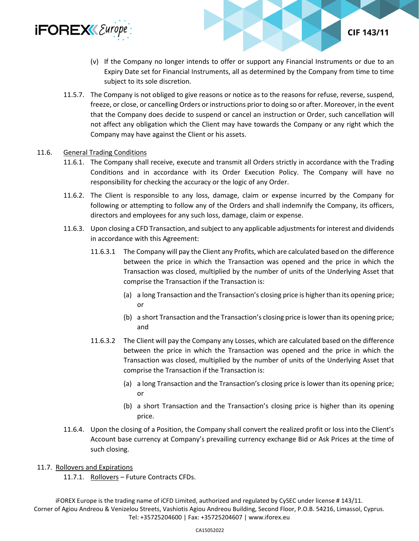

(v) If the Company no longer intends to offer or support any Financial Instruments or due to an Expiry Date set for Financial Instruments, all as determined by the Company from time to time subject to its sole discretion.

**CIF 143/11** 

11.5.7. The Company is not obliged to give reasons or notice as to the reasons for refuse, reverse, suspend, freeze, or close, or cancelling Orders or instructions prior to doing so or after. Moreover, in the event that the Company does decide to suspend or cancel an instruction or Order, such cancellation will not affect any obligation which the Client may have towards the Company or any right which the Company may have against the Client or his assets.

#### 11.6. General Trading Conditions

- 11.6.1. The Company shall receive, execute and transmit all Orders strictly in accordance with the Trading Conditions and in accordance with its Order Execution Policy. The Company will have no responsibility for checking the accuracy or the logic of any Order.
- 11.6.2. The Client is responsible to any loss, damage, claim or expense incurred by the Company for following or attempting to follow any of the Orders and shall indemnify the Company, its officers, directors and employees for any such loss, damage, claim or expense.
- 11.6.3. Upon closing a CFD Transaction, and subject to any applicable adjustments for interest and dividends in accordance with this Agreement:
	- 11.6.3.1 The Company will pay the Client any Profits, which are calculated based on the difference between the price in which the Transaction was opened and the price in which the Transaction was closed, multiplied by the number of units of the Underlying Asset that comprise the Transaction if the Transaction is:
		- (a) a long Transaction and the Transaction's closing price is higher than its opening price; or
		- (b) a short Transaction and the Transaction's closing price is lower than its opening price; and
	- 11.6.3.2 The Client will pay the Company any Losses, which are calculated based on the difference between the price in which the Transaction was opened and the price in which the Transaction was closed, multiplied by the number of units of the Underlying Asset that comprise the Transaction if the Transaction is:
		- (a) a long Transaction and the Transaction's closing price is lower than its opening price; or
		- (b) a short Transaction and the Transaction's closing price is higher than its opening price.
- 11.6.4. Upon the closing of a Position, the Company shall convert the realized profit or loss into the Client's Account base currency at Company's prevailing currency exchange Bid or Ask Prices at the time of such closing.

#### 11.7. Rollovers and Expirations

11.7.1. Rollovers - Future Contracts CFDs.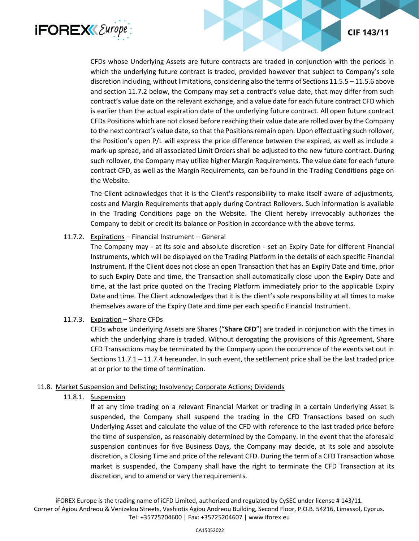



CFDs whose Underlying Assets are future contracts are traded in conjunction with the periods in which the underlying future contract is traded, provided however that subject to Company's sole discretion including, without limitations, considering also the terms of Sections 11.5.5 – 11.5.6 above and section 11.7.2 below, the Company may set a contract's value date, that may differ from such contract's value date on the relevant exchange, and a value date for each future contract CFD which is earlier than the actual expiration date of the underlying future contract. All open future contract CFDs Positions which are not closed before reaching their value date are rolled over by the Company to the next contract's value date, so that the Positions remain open. Upon effectuating such rollover, the Position's open P/L will express the price difference between the expired, as well as include a mark-up spread, and all associated Limit Orders shall be adjusted to the new future contract. During such rollover, the Company may utilize higher Margin Requirements. The value date for each future contract CFD, as well as the Margin Requirements, can be found in the Trading Conditions page on the Website.

The Client acknowledges that it is the Client's responsibility to make itself aware of adjustments, costs and Margin Requirements that apply during Contract Rollovers. Such information is available in the Trading Conditions page on the Website. The Client hereby irrevocably authorizes the Company to debit or credit its balance or Position in accordance with the above terms.

# 11.7.2. Expirations – Financial Instrument – General

The Company may - at its sole and absolute discretion - set an Expiry Date for different Financial Instruments, which will be displayed on the Trading Platform in the details of each specific Financial Instrument. If the Client does not close an open Transaction that has an Expiry Date and time, prior to such Expiry Date and time, the Transaction shall automatically close upon the Expiry Date and time, at the last price quoted on the Trading Platform immediately prior to the applicable Expiry Date and time. The Client acknowledges that it is the client's sole responsibility at all times to make themselves aware of the Expiry Date and time per each specific Financial Instrument.

# 11.7.3. Expiration – Share CFDs

CFDs whose Underlying Assets are Shares ("**Share CFD**") are traded in conjunction with the times in which the underlying share is traded. Without derogating the provisions of this Agreement, Share CFD Transactions may be terminated by the Company upon the occurrence of the events set out in Sections 11.7.1 – 11.7.4 hereunder. In such event, the settlement price shall be the last traded price at or prior to the time of termination.

# 11.8. Market Suspension and Delisting; Insolvency; Corporate Actions; Dividends

# 11.8.1. Suspension

If at any time trading on a relevant Financial Market or trading in a certain Underlying Asset is suspended, the Company shall suspend the trading in the CFD Transactions based on such Underlying Asset and calculate the value of the CFD with reference to the last traded price before the time of suspension, as reasonably determined by the Company. In the event that the aforesaid suspension continues for five Business Days, the Company may decide, at its sole and absolute discretion, a Closing Time and price of the relevant CFD. During the term of a CFD Transaction whose market is suspended, the Company shall have the right to terminate the CFD Transaction at its discretion, and to amend or vary the requirements.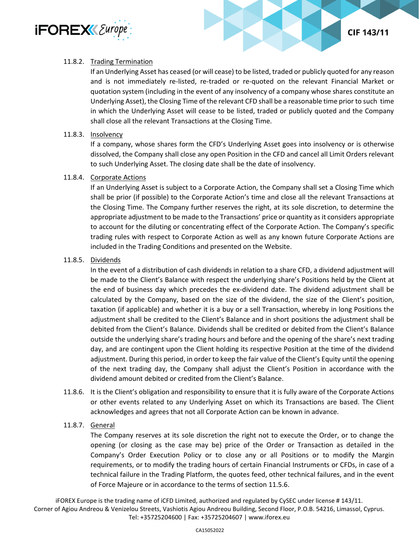

## 11.8.2. Trading Termination

If an Underlying Asset has ceased (or will cease) to be listed, traded or publicly quoted for any reason and is not immediately re-listed, re-traded or re-quoted on the relevant Financial Market or quotation system (including in the event of any insolvency of a company whose shares constitute an Underlying Asset), the Closing Time of the relevant CFD shall be a reasonable time prior to such time in which the Underlying Asset will cease to be listed, traded or publicly quoted and the Company shall close all the relevant Transactions at the Closing Time.

**CIF 143/11** 

## 11.8.3. Insolvency

If a company, whose shares form the CFD's Underlying Asset goes into insolvency or is otherwise dissolved, the Company shall close any open Position in the CFD and cancel all Limit Orders relevant to such Underlying Asset. The closing date shall be the date of insolvency.

## 11.8.4. Corporate Actions

If an Underlying Asset is subject to a Corporate Action, the Company shall set a Closing Time which shall be prior (if possible) to the Corporate Action's time and close all the relevant Transactions at the Closing Time. The Company further reserves the right, at its sole discretion, to determine the appropriate adjustment to be made to the Transactions' price or quantity as it considers appropriate to account for the diluting or concentrating effect of the Corporate Action. The Company's specific trading rules with respect to Corporate Action as well as any known future Corporate Actions are included in the Trading Conditions and presented on the Website.

## 11.8.5. Dividends

In the event of a distribution of cash dividends in relation to a share CFD, a dividend adjustment will be made to the Client's Balance with respect the underlying share's Positions held by the Client at the end of business day which precedes the ex-dividend date. The dividend adjustment shall be calculated by the Company, based on the size of the dividend, the size of the Client's position, taxation (if applicable) and whether it is a buy or a sell Transaction, whereby in long Positions the adjustment shall be credited to the Client's Balance and in short positions the adjustment shall be debited from the Client's Balance. Dividends shall be credited or debited from the Client's Balance outside the underlying share's trading hours and before and the opening of the share's next trading day, and are contingent upon the Client holding its respective Position at the time of the dividend adjustment. During this period, in order to keep the fair value of the Client's Equity until the opening of the next trading day, the Company shall adjust the Client's Position in accordance with the dividend amount debited or credited from the Client's Balance.

11.8.6. It is the Client's obligation and responsibility to ensure that it is fully aware of the Corporate Actions or other events related to any Underlying Asset on which its Transactions are based. The Client acknowledges and agrees that not all Corporate Action can be known in advance.

## 11.8.7. General

The Company reserves at its sole discretion the right not to execute the Order, or to change the opening (or closing as the case may be) price of the Order or Transaction as detailed in the Company's Order Execution Policy or to close any or all Positions or to modify the Margin requirements, or to modify the trading hours of certain Financial Instruments or CFDs, in case of a technical failure in the Trading Platform, the quotes feed, other technical failures, and in the event of Force Majeure or in accordance to the terms of section 11.5.6.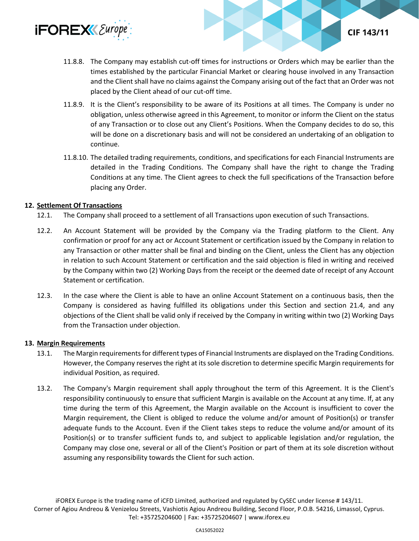

- 11.8.8. The Company may establish cut-off times for instructions or Orders which may be earlier than the times established by the particular Financial Market or clearing house involved in any Transaction and the Client shall have no claims against the Company arising out of the fact that an Order was not placed by the Client ahead of our cut-off time.
- 11.8.9. It is the Client's responsibility to be aware of its Positions at all times. The Company is under no obligation, unless otherwise agreed in this Agreement, to monitor or inform the Client on the status of any Transaction or to close out any Client's Positions. When the Company decides to do so, this will be done on a discretionary basis and will not be considered an undertaking of an obligation to continue.
- 11.8.10. The detailed trading requirements, conditions, and specifications for each Financial Instruments are detailed in the Trading Conditions. The Company shall have the right to change the Trading Conditions at any time. The Client agrees to check the full specifications of the Transaction before placing any Order.

## **12. Settlement Of Transactions**

- 12.1. The Company shall proceed to a settlement of all Transactions upon execution of such Transactions.
- 12.2. An Account Statement will be provided by the Company via the Trading platform to the Client. Any confirmation or proof for any act or Account Statement or certification issued by the Company in relation to any Transaction or other matter shall be final and binding on the Client, unless the Client has any objection in relation to such Account Statement or certification and the said objection is filed in writing and received by the Company within two (2) Working Days from the receipt or the deemed date of receipt of any Account Statement or certification.
- 12.3. In the case where the Client is able to have an online Account Statement on a continuous basis, then the Company is considered as having fulfilled its obligations under this Section and section 21.4, and any objections of the Client shall be valid only if received by the Company in writing within two (2) Working Days from the Transaction under objection.

## **13. Margin Requirements**

- 13.1. The Margin requirements for different types of Financial Instruments are displayed on the Trading Conditions. However, the Company reserves the right at its sole discretion to determine specific Margin requirements for individual Position, as required.
- 13.2. The Company's Margin requirement shall apply throughout the term of this Agreement. It is the Client's responsibility continuously to ensure that sufficient Margin is available on the Account at any time. If, at any time during the term of this Agreement, the Margin available on the Account is insufficient to cover the Margin requirement, the Client is obliged to reduce the volume and/or amount of Position(s) or transfer adequate funds to the Account. Even if the Client takes steps to reduce the volume and/or amount of its Position(s) or to transfer sufficient funds to, and subject to applicable legislation and/or regulation, the Company may close one, several or all of the Client's Position or part of them at its sole discretion without assuming any responsibility towards the Client for such action.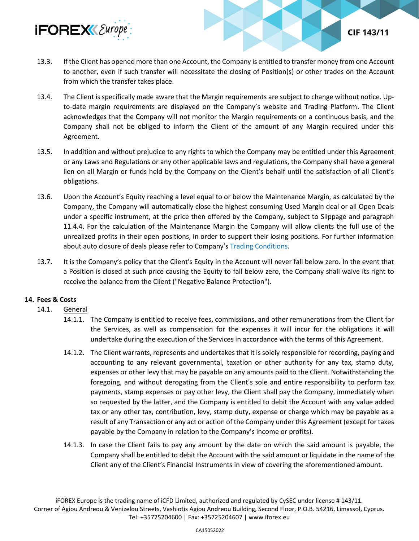

13.3. If the Client has opened more than one Account, the Company is entitled to transfer money from one Account to another, even if such transfer will necessitate the closing of Position(s) or other trades on the Account from which the transfer takes place.

**CIF 143/11** 

- 13.4. The Client is specifically made aware that the Margin requirements are subject to change without notice. Upto-date margin requirements are displayed on the Company's website and Trading Platform. The Client acknowledges that the Company will not monitor the Margin requirements on a continuous basis, and the Company shall not be obliged to inform the Client of the amount of any Margin required under this Agreement.
- 13.5. In addition and without prejudice to any rights to which the Company may be entitled under this Agreement or any Laws and Regulations or any other applicable laws and regulations, the Company shall have a general lien on all Margin or funds held by the Company on the Client's behalf until the satisfaction of all Client's obligations.
- 13.6. Upon the Account's Equity reaching a level equal to or below the Maintenance Margin, as calculated by the Company, the Company will automatically close the highest consuming Used Margin deal or all Open Deals under a specific instrument, at the price then offered by the Company, subject to Slippage and paragraph 11.4.4. For the calculation of the Maintenance Margin the Company will allow clients the full use of the unrealized profits in their open positions, in order to support their losing positions. For further information about auto closure of deals please refer to Company's [Trading Conditions.](https://www.iforex.eu/trading-conditions)
- 13.7. It is the Company's policy that the Client's Equity in the Account will never fall below zero. In the event that a Position is closed at such price causing the Equity to fall below zero, the Company shall waive its right to receive the balance from the Client ("Negative Balance Protection").

## **14. Fees & Costs**

- 14.1. General
	- 14.1.1. The Company is entitled to receive fees, commissions, and other remunerations from the Client for the Services, as well as compensation for the expenses it will incur for the obligations it will undertake during the execution of the Services in accordance with the terms of this Agreement.
	- 14.1.2. The Client warrants, represents and undertakes that it is solely responsible for recording, paying and accounting to any relevant governmental, taxation or other authority for any tax, stamp duty, expenses or other levy that may be payable on any amounts paid to the Client. Notwithstanding the foregoing, and without derogating from the Client's sole and entire responsibility to perform tax payments, stamp expenses or pay other levy, the Client shall pay the Company, immediately when so requested by the latter, and the Company is entitled to debit the Account with any value added tax or any other tax, contribution, levy, stamp duty, expense or charge which may be payable as a result of any Transaction or any act or action of the Company under this Agreement (except for taxes payable by the Company in relation to the Company's income or profits).
	- 14.1.3. In case the Client fails to pay any amount by the date on which the said amount is payable, the Company shall be entitled to debit the Account with the said amount or liquidate in the name of the Client any of the Client's Financial Instruments in view of covering the aforementioned amount.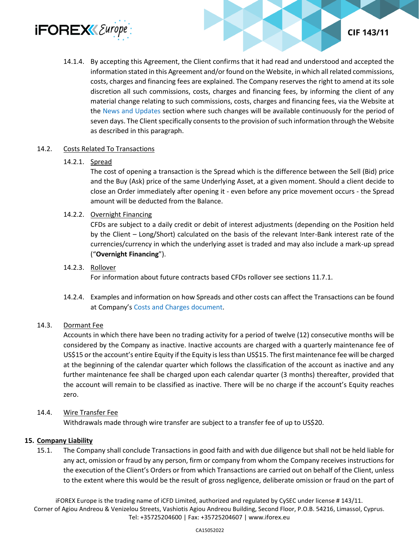

14.1.4. By accepting this Agreement, the Client confirms that it had read and understood and accepted the information stated in this Agreement and/or found on the Website, in which all related commissions, costs, charges and financing fees are explained. The Company reserves the right to amend at its sole discretion all such commissions, costs, charges and financing fees, by informing the client of any material change relating to such commissions, costs, charges and financing fees, via the Website at the [News and Updates](https://www.iforex.eu/legal-documents/news-and-updates) section where such changes will be available continuously for the period of seven days. The Client specifically consents to the provision of such information through the Website as described in this paragraph.

#### 14.2. Costs Related To Transactions

#### 14.2.1. Spread

The cost of opening a transaction is the Spread which is the difference between the Sell (Bid) price and the Buy (Ask) price of the same Underlying Asset, at a given moment. Should a client decide to close an Order immediately after opening it - even before any price movement occurs - the Spread amount will be deducted from the Balance.

#### 14.2.2. Overnight Financing

CFDs are subject to a daily credit or debit of interest adjustments (depending on the Position held by the Client – Long/Short) calculated on the basis of the relevant Inter-Bank interest rate of the currencies/currency in which the underlying asset is traded and may also include a mark-up spread ("**Overnight Financing**").

#### 14.2.3. Rollover

For information about future contracts based CFDs rollover see sections 11.7.1.

14.2.4. Examples and information on how Spreads and other costs can affect the Transactions can be found at Company's [Costs and Charges document.](https://www.iforex.eu/legal/costs-and-charges-document.pdf)

#### 14.3. Dormant Fee

Accounts in which there have been no trading activity for a period of twelve (12) consecutive months will be considered by the Company as inactive. Inactive accounts are charged with a quarterly maintenance fee of US\$15 or the account's entire Equity if the Equity is less than US\$15. The first maintenance fee will be charged at the beginning of the calendar quarter which follows the classification of the account as inactive and any further maintenance fee shall be charged upon each calendar quarter (3 months) thereafter, provided that the account will remain to be classified as inactive. There will be no charge if the account's Equity reaches zero.

#### 14.4. Wire Transfer Fee

Withdrawals made through wire transfer are subject to a transfer fee of up to US\$20.

#### **15. Company Liability**

15.1. The Company shall conclude Transactions in good faith and with due diligence but shall not be held liable for any act, omission or fraud by any person, firm or company from whom the Company receives instructions for the execution of the Client's Orders or from which Transactions are carried out on behalf of the Client, unless to the extent where this would be the result of gross negligence, deliberate omission or fraud on the part of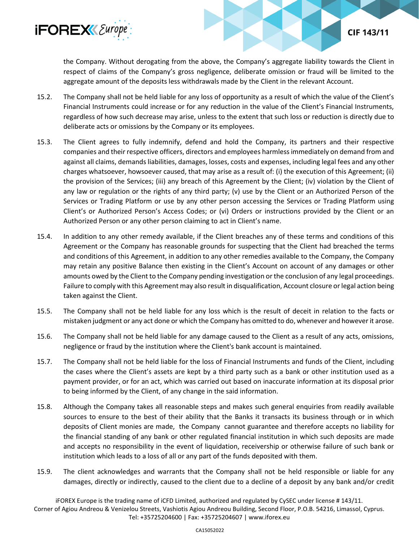

the Company. Without derogating from the above, the Company's aggregate liability towards the Client in respect of claims of the Company's gross negligence, deliberate omission or fraud will be limited to the aggregate amount of the deposits less withdrawals made by the Client in the relevant Account.

**CIF 143/11** 

- 15.2. The Company shall not be held liable for any loss of opportunity as a result of which the value of the Client's Financial Instruments could increase or for any reduction in the value of the Client's Financial Instruments, regardless of how such decrease may arise, unless to the extent that such loss or reduction is directly due to deliberate acts or omissions by the Company or its employees.
- 15.3. The Client agrees to fully indemnify, defend and hold the Company, its partners and their respective companies and their respective officers, directors and employees harmless immediately on demand from and against all claims, demands liabilities, damages, losses, costs and expenses, including legal fees and any other charges whatsoever, howsoever caused, that may arise as a result of: (i) the execution of this Agreement; (ii) the provision of the Services; (iii) any breach of this Agreement by the Client; (iv) violation by the Client of any law or regulation or the rights of any third party; (v) use by the Client or an Authorized Person of the Services or Trading Platform or use by any other person accessing the Services or Trading Platform using Client's or Authorized Person's Access Codes; or (vi) Orders or instructions provided by the Client or an Authorized Person or any other person claiming to act in Client's name.
- 15.4. In addition to any other remedy available, if the Client breaches any of these terms and conditions of this Agreement or the Company has reasonable grounds for suspecting that the Client had breached the terms and conditions of this Agreement, in addition to any other remedies available to the Company, the Company may retain any positive Balance then existing in the Client's Account on account of any damages or other amounts owed by the Client to the Company pending investigation or the conclusion of any legal proceedings. Failure to comply with this Agreement may also result in disqualification, Account closure or legal action being taken against the Client.
- 15.5. The Company shall not be held liable for any loss which is the result of deceit in relation to the facts or mistaken judgment or any act done or which the Company has omitted to do, whenever and however it arose.
- 15.6. The Company shall not be held liable for any damage caused to the Client as a result of any acts, omissions, negligence or fraud by the institution where the Client's bank account is maintained.
- 15.7. The Company shall not be held liable for the loss of Financial Instruments and funds of the Client, including the cases where the Client's assets are kept by a third party such as a bank or other institution used as a payment provider, or for an act, which was carried out based on inaccurate information at its disposal prior to being informed by the Client, of any change in the said information.
- 15.8. Although the Company takes all reasonable steps and makes such general enquiries from readily available sources to ensure to the best of their ability that the Banks it transacts its business through or in which deposits of Client monies are made, the Company cannot guarantee and therefore accepts no liability for the financial standing of any bank or other regulated financial institution in which such deposits are made and accepts no responsibility in the event of liquidation, receivership or otherwise failure of such bank or institution which leads to a loss of all or any part of the funds deposited with them.
- 15.9. The client acknowledges and warrants that the Company shall not be held responsible or liable for any damages, directly or indirectly, caused to the client due to a decline of a deposit by any bank and/or credit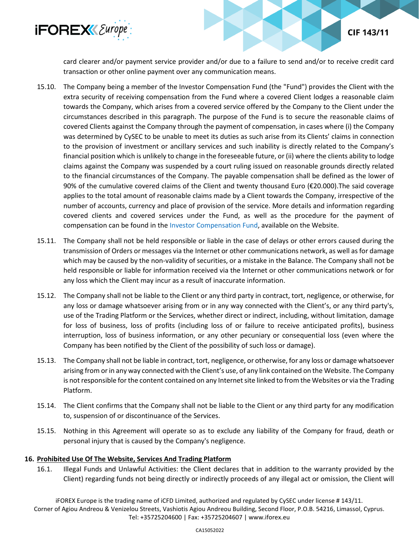

card clearer and/or payment service provider and/or due to a failure to send and/or to receive credit card transaction or other online payment over any communication means.

**CIF 143/11** 

- 15.10. The Company being a member of the Investor Compensation Fund (the "Fund") provides the Client with the extra security of receiving compensation from the Fund where a covered Client lodges a reasonable claim towards the Company, which arises from a covered service offered by the Company to the Client under the circumstances described in this paragraph. The purpose of the Fund is to secure the reasonable claims of covered Clients against the Company through the payment of compensation, in cases where (i) the Company was determined by CySEC to be unable to meet its duties as such arise from its Clients' claims in connection to the provision of investment or ancillary services and such inability is directly related to the Company's financial position which is unlikely to change in the foreseeable future, or (ii) where the clients ability to lodge claims against the Company was suspended by a court ruling issued on reasonable grounds directly related to the financial circumstances of the Company. The payable compensation shall be defined as the lower of 90% of the cumulative covered claims of the Client and twenty thousand Euro (€20.000).The said coverage applies to the total amount of reasonable claims made by a Client towards the Company, irrespective of the number of accounts, currency and place of provision of the service. More details and information regarding covered clients and covered services under the Fund, as well as the procedure for the payment of compensation can be found in the [Investor Compensation Fund,](https://www.iforex.eu/legal/investor-compensation-fund.pdf) available on the Website.
- 15.11. The Company shall not be held responsible or liable in the case of delays or other errors caused during the transmission of Orders or messages via the Internet or other communications network, as well as for damage which may be caused by the non-validity of securities, or a mistake in the Balance. The Company shall not be held responsible or liable for information received via the Internet or other communications network or for any loss which the Client may incur as a result of inaccurate information.
- 15.12. The Company shall not be liable to the Client or any third party in contract, tort, negligence, or otherwise, for any loss or damage whatsoever arising from or in any way connected with the Client's, or any third party's, use of the Trading Platform or the Services, whether direct or indirect, including, without limitation, damage for loss of business, loss of profits (including loss of or failure to receive anticipated profits), business interruption, loss of business information, or any other pecuniary or consequential loss (even where the Company has been notified by the Client of the possibility of such loss or damage).
- 15.13. The Company shall not be liable in contract, tort, negligence, or otherwise, for any loss or damage whatsoever arising from or in any way connected with the Client's use, of any link contained on the Website. The Company is not responsible for the content contained on any Internet site linked to from the Websites or via the Trading Platform.
- 15.14. The Client confirms that the Company shall not be liable to the Client or any third party for any modification to, suspension of or discontinuance of the Services.
- 15.15. Nothing in this Agreement will operate so as to exclude any liability of the Company for fraud, death or personal injury that is caused by the Company's negligence.

## **16. Prohibited Use Of The Website, Services And Trading Platform**

16.1. Illegal Funds and Unlawful Activities: the Client declares that in addition to the warranty provided by the Client) regarding funds not being directly or indirectly proceeds of any illegal act or omission, the Client will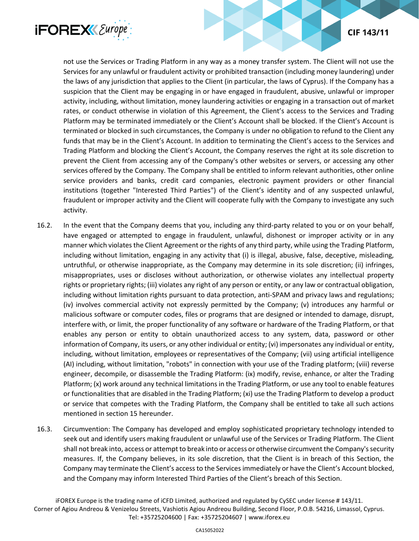



not use the Services or Trading Platform in any way as a money transfer system. The Client will not use the Services for any unlawful or fraudulent activity or prohibited transaction (including money laundering) under the laws of any jurisdiction that applies to the Client (in particular, the laws of Cyprus). If the Company has a suspicion that the Client may be engaging in or have engaged in fraudulent, abusive, unlawful or improper activity, including, without limitation, money laundering activities or engaging in a transaction out of market rates, or conduct otherwise in violation of this Agreement, the Client's access to the Services and Trading Platform may be terminated immediately or the Client's Account shall be blocked. If the Client's Account is terminated or blocked in such circumstances, the Company is under no obligation to refund to the Client any funds that may be in the Client's Account. In addition to terminating the Client's access to the Services and Trading Platform and blocking the Client's Account, the Company reserves the right at its sole discretion to prevent the Client from accessing any of the Company's other websites or servers, or accessing any other services offered by the Company. The Company shall be entitled to inform relevant authorities, other online service providers and banks, credit card companies, electronic payment providers or other financial institutions (together "Interested Third Parties") of the Client's identity and of any suspected unlawful, fraudulent or improper activity and the Client will cooperate fully with the Company to investigate any such activity.

- 16.2. In the event that the Company deems that you, including any third-party related to you or on your behalf, have engaged or attempted to engage in fraudulent, unlawful, dishonest or improper activity or in any manner which violates the Client Agreement or the rights of any third party, while using the Trading Platform, including without limitation, engaging in any activity that (i) is illegal, abusive, false, deceptive, misleading, untruthful, or otherwise inappropriate, as the Company may determine in its sole discretion; (ii) infringes, misappropriates, uses or discloses without authorization, or otherwise violates any intellectual property rights or proprietary rights; (iii) violates any right of any person or entity, or any law or contractual obligation, including without limitation rights pursuant to data protection, anti-SPAM and privacy laws and regulations; (iv) involves commercial activity not expressly permitted by the Company; (v) introduces any harmful or malicious software or computer codes, files or programs that are designed or intended to damage, disrupt, interfere with, or limit, the proper functionality of any software or hardware of the Trading Platform, or that enables any person or entity to obtain unauthorized access to any system, data, password or other information of Company, its users, or any other individual or entity; (vi) impersonates any individual or entity, including, without limitation, employees or representatives of the Company; (vii) using artificial intelligence (AI) including, without limitation, "robots" in connection with your use of the Trading platform; (viii) reverse engineer, decompile, or disassemble the Trading Platform: (ix) modify, revise, enhance, or alter the Trading Platform; (x) work around any technical limitations in the Trading Platform, or use any tool to enable features or functionalities that are disabled in the Trading Platform; (xi) use the Trading Platform to develop a product or service that competes with the Trading Platform, the Company shall be entitled to take all such actions mentioned in section 15 hereunder.
- 16.3. Circumvention: The Company has developed and employ sophisticated proprietary technology intended to seek out and identify users making fraudulent or unlawful use of the Services or Trading Platform. The Client shall not break into, access or attempt to break into or access or otherwise circumvent the Company's security measures. If, the Company believes, in its sole discretion, that the Client is in breach of this Section, the Company may terminate the Client's access to the Services immediately or have the Client's Account blocked, and the Company may inform Interested Third Parties of the Client's breach of this Section.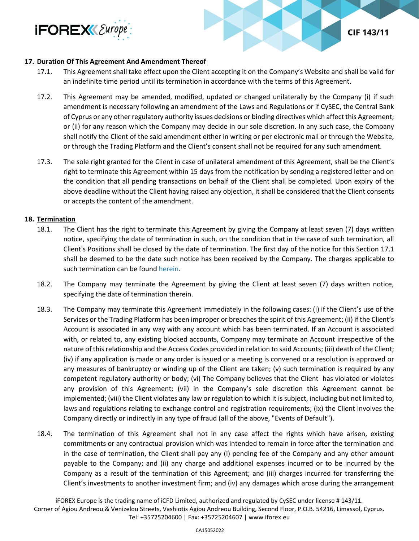



## **17. Duration Of This Agreement And Amendment Thereof**

- 17.1. This Agreement shall take effect upon the Client accepting it on the Company's Website and shall be valid for an indefinite time period until its termination in accordance with the terms of this Agreement.
- 17.2. This Agreement may be amended, modified, updated or changed unilaterally by the Company (i) if such amendment is necessary following an amendment of the Laws and Regulations or if CySEC, the Central Bank of Cyprus or any other regulatory authority issues decisions or binding directives which affect this Agreement; or (ii) for any reason which the Company may decide in our sole discretion. In any such case, the Company shall notify the Client of the said amendment either in writing or per electronic mail or through the Website, or through the Trading Platform and the Client's consent shall not be required for any such amendment.
- 17.3. The sole right granted for the Client in case of unilateral amendment of this Agreement, shall be the Client's right to terminate this Agreement within 15 days from the notification by sending a registered letter and on the condition that all pending transactions on behalf of the Client shall be completed. Upon expiry of the above deadline without the Client having raised any objection, it shall be considered that the Client consents or accepts the content of the amendment.

#### **18. Termination**

- 18.1. The Client has the right to terminate this Agreement by giving the Company at least seven (7) days written notice, specifying the date of termination in such, on the condition that in the case of such termination, all Client's Positions shall be closed by the date of termination. The first day of the notice for this Section 17.1 shall be deemed to be the date such notice has been received by the Company. The charges applicable to such termination can be found [herein.](https://www.iforex.eu/legal/costs-and-charges-document.pdf)
- 18.2. The Company may terminate the Agreement by giving the Client at least seven (7) days written notice, specifying the date of termination therein.
- 18.3. The Company may terminate this Agreement immediately in the following cases: (i) if the Client's use of the Services or the Trading Platform has been improper or breaches the spirit of this Agreement; (ii) if the Client's Account is associated in any way with any account which has been terminated. If an Account is associated with, or related to, any existing blocked accounts, Company may terminate an Account irrespective of the nature of this relationship and the Access Codes provided in relation to said Accounts; (iii) death of the Client; (iv) if any application is made or any order is issued or a meeting is convened or a resolution is approved or any measures of bankruptcy or winding up of the Client are taken; (v) such termination is required by any competent regulatory authority or body; (vi) The Company believes that the Client has violated or violates any provision of this Agreement; (vii) in the Company's sole discretion this Agreement cannot be implemented; (viii) the Client violates any law or regulation to which it is subject, including but not limited to, laws and regulations relating to exchange control and registration requirements; (ix) the Client involves the Company directly or indirectly in any type of fraud (all of the above, "Events of Default").
- 18.4. The termination of this Agreement shall not in any case affect the rights which have arisen, existing commitments or any contractual provision which was intended to remain in force after the termination and in the case of termination, the Client shall pay any (i) pending fee of the Company and any other amount payable to the Company; and (ii) any charge and additional expenses incurred or to be incurred by the Company as a result of the termination of this Agreement; and (iii) charges incurred for transferring the Client's investments to another investment firm; and (iv) any damages which arose during the arrangement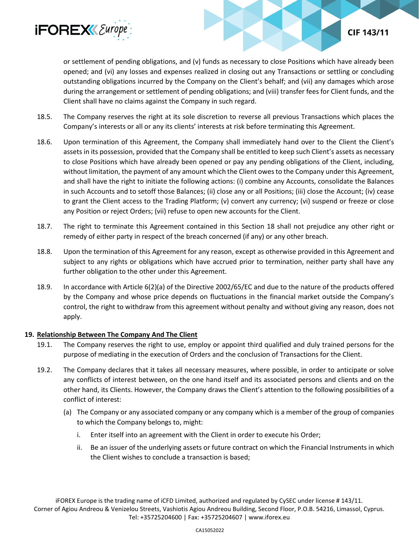

# **CIF 143/11**

or settlement of pending obligations, and (v) funds as necessary to close Positions which have already been opened; and (vi) any losses and expenses realized in closing out any Transactions or settling or concluding outstanding obligations incurred by the Company on the Client's behalf; and (vii) any damages which arose during the arrangement or settlement of pending obligations; and (viii) transfer fees for Client funds, and the Client shall have no claims against the Company in such regard.

- 18.5. The Company reserves the right at its sole discretion to reverse all previous Transactions which places the Company's interests or all or any its clients' interests at risk before terminating this Agreement.
- 18.6. Upon termination of this Agreement, the Company shall immediately hand over to the Client the Client's assets in its possession, provided that the Company shall be entitled to keep such Client's assets as necessary to close Positions which have already been opened or pay any pending obligations of the Client, including, without limitation, the payment of any amount which the Client owes to the Company under this Agreement, and shall have the right to initiate the following actions: (i) combine any Accounts, consolidate the Balances in such Accounts and to setoff those Balances; (ii) close any or all Positions; (iii) close the Account; (iv) cease to grant the Client access to the Trading Platform; (v) convert any currency; (vi) suspend or freeze or close any Position or reject Orders; (vii) refuse to open new accounts for the Client.
- 18.7. The right to terminate this Agreement contained in this Section 18 shall not prejudice any other right or remedy of either party in respect of the breach concerned (if any) or any other breach.
- 18.8. Upon the termination of this Agreement for any reason, except as otherwise provided in this Agreement and subject to any rights or obligations which have accrued prior to termination, neither party shall have any further obligation to the other under this Agreement.
- 18.9. In accordance with Article 6(2)(a) of the Directive 2002/65/EC and due to the nature of the products offered by the Company and whose price depends on fluctuations in the financial market outside the Company's control, the right to withdraw from this agreement without penalty and without giving any reason, does not apply.

## **19. Relationship Between The Company And The Client**

- 19.1. The Company reserves the right to use, employ or appoint third qualified and duly trained persons for the purpose of mediating in the execution of Orders and the conclusion of Transactions for the Client.
- 19.2. The Company declares that it takes all necessary measures, where possible, in order to anticipate or solve any conflicts of interest between, on the one hand itself and its associated persons and clients and on the other hand, its Clients. However, the Company draws the Client's attention to the following possibilities of a conflict of interest:
	- (a) The Company or any associated company or any company which is a member of the group of companies to which the Company belongs to, might:
		- i. Enter itself into an agreement with the Client in order to execute his Order;
		- ii. Be an issuer of the underlying assets or future contract on which the Financial Instruments in which the Client wishes to conclude a transaction is based;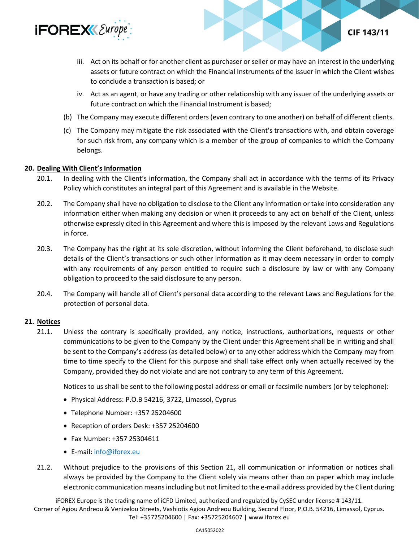

iii. Act on its behalf or for another client as purchaser or seller or may have an interest in the underlying assets or future contract on which the Financial Instruments of the issuer in which the Client wishes to conclude a transaction is based; or

**CIF 143/11** 

- iv. Act as an agent, or have any trading or other relationship with any issuer of the underlying assets or future contract on which the Financial Instrument is based;
- (b) The Company may execute different orders (even contrary to one another) on behalf of different clients.
- (c) The Company may mitigate the risk associated with the Client's transactions with, and obtain coverage for such risk from, any company which is a member of the group of companies to which the Company belongs.

#### **20. Dealing With Client's Information**

- 20.1. In dealing with the Client's information, the Company shall act in accordance with the terms of its Privacy Policy which constitutes an integral part of this Agreement and is available in the Website.
- 20.2. The Company shall have no obligation to disclose to the Client any information or take into consideration any information either when making any decision or when it proceeds to any act on behalf of the Client, unless otherwise expressly cited in this Agreement and where this is imposed by the relevant Laws and Regulations in force.
- 20.3. The Company has the right at its sole discretion, without informing the Client beforehand, to disclose such details of the Client's transactions or such other information as it may deem necessary in order to comply with any requirements of any person entitled to require such a disclosure by law or with any Company obligation to proceed to the said disclosure to any person.
- 20.4. The Company will handle all of Client's personal data according to the relevant Laws and Regulations for the protection of personal data.

## **21. Notices**

21.1. Unless the contrary is specifically provided, any notice, instructions, authorizations, requests or other communications to be given to the Company by the Client under this Agreement shall be in writing and shall be sent to the Company's address (as detailed below) or to any other address which the Company may from time to time specify to the Client for this purpose and shall take effect only when actually received by the Company, provided they do not violate and are not contrary to any term of this Agreement.

Notices to us shall be sent to the following postal address or email or facsimile numbers (or by telephone):

- Physical Address: P.O.B 54216, 3722, Limassol, Cyprus
- Telephone Number: +357 25204600
- Reception of orders Desk: +357 25204600
- Fax Number: +357 25304611
- E-mail: [info@iforex.eu](mailto:info@iforex.eu)
- 21.2. Without prejudice to the provisions of this Section 21, all communication or information or notices shall always be provided by the Company to the Client solely via means other than on paper which may include electronic communication means including but not limited to the e-mail address provided by the Client during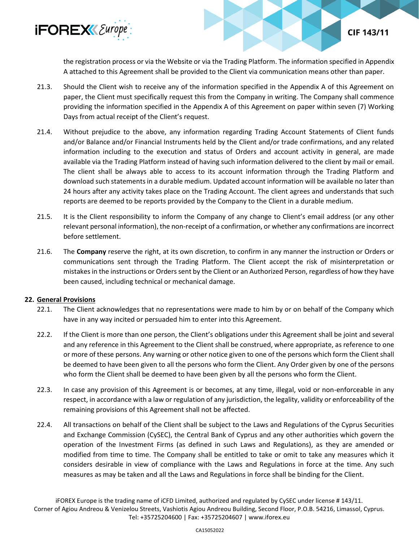

the registration process or via the Website or via the Trading Platform. The information specified in Appendix A attached to this Agreement shall be provided to the Client via communication means other than paper.

**CIF 143/11** 

- 21.3. Should the Client wish to receive any of the information specified in the Appendix A of this Agreement on paper, the Client must specifically request this from the Company in writing. The Company shall commence providing the information specified in the Appendix A of this Agreement on paper within seven (7) Working Days from actual receipt of the Client's request.
- 21.4. Without prejudice to the above, any information regarding Trading Account Statements of Client funds and/or Balance and/or Financial Instruments held by the Client and/or trade confirmations, and any related information including to the execution and status of Orders and account activity in general, are made available via the Trading Platform instead of having such information delivered to the client by mail or email. The client shall be always able to access to its account information through the Trading Platform and download such statements in a durable medium. Updated account information will be available no later than 24 hours after any activity takes place on the Trading Account. The client agrees and understands that such reports are deemed to be reports provided by the Company to the Client in a durable medium.
- 21.5. It is the Client responsibility to inform the Company of any change to Client's email address (or any other relevant personal information), the non-receipt of a confirmation, or whether any confirmations are incorrect before settlement.
- 21.6. The **Company** reserve the right, at its own discretion, to confirm in any manner the instruction or Orders or communications sent through the Trading Platform. The Client accept the risk of misinterpretation or mistakes in the instructions or Orders sent by the Client or an Authorized Person, regardless of how they have been caused, including technical or mechanical damage.

## **22. General Provisions**

- 22.1. The Client acknowledges that no representations were made to him by or on behalf of the Company which have in any way incited or persuaded him to enter into this Agreement.
- 22.2. If the Client is more than one person, the Client's obligations under this Agreement shall be joint and several and any reference in this Agreement to the Client shall be construed, where appropriate, as reference to one or more of these persons. Any warning or other notice given to one of the persons which form the Client shall be deemed to have been given to all the persons who form the Client. Any Order given by one of the persons who form the Client shall be deemed to have been given by all the persons who form the Client.
- 22.3. In case any provision of this Agreement is or becomes, at any time, illegal, void or non-enforceable in any respect, in accordance with a law or regulation of any jurisdiction, the legality, validity or enforceability of the remaining provisions of this Agreement shall not be affected.
- 22.4. All transactions on behalf of the Client shall be subject to the Laws and Regulations of the Cyprus Securities and Exchange Commission (CySEC), the Central Bank of Cyprus and any other authorities which govern the operation of the Investment Firms (as defined in such Laws and Regulations), as they are amended or modified from time to time. The Company shall be entitled to take or omit to take any measures which it considers desirable in view of compliance with the Laws and Regulations in force at the time. Any such measures as may be taken and all the Laws and Regulations in force shall be binding for the Client.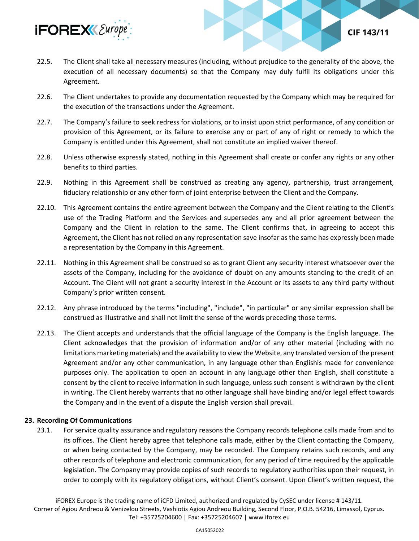

22.5. The Client shall take all necessary measures (including, without prejudice to the generality of the above, the execution of all necessary documents) so that the Company may duly fulfil its obligations under this Agreement.

**CIF 143/11** 

- 22.6. The Client undertakes to provide any documentation requested by the Company which may be required for the execution of the transactions under the Agreement.
- 22.7. The Company's failure to seek redress for violations, or to insist upon strict performance, of any condition or provision of this Agreement, or its failure to exercise any or part of any of right or remedy to which the Company is entitled under this Agreement, shall not constitute an implied waiver thereof.
- 22.8. Unless otherwise expressly stated, nothing in this Agreement shall create or confer any rights or any other benefits to third parties.
- 22.9. Nothing in this Agreement shall be construed as creating any agency, partnership, trust arrangement, fiduciary relationship or any other form of joint enterprise between the Client and the Company.
- 22.10. This Agreement contains the entire agreement between the Company and the Client relating to the Client's use of the Trading Platform and the Services and supersedes any and all prior agreement between the Company and the Client in relation to the same. The Client confirms that, in agreeing to accept this Agreement, the Client has not relied on any representation save insofar as the same has expressly been made a representation by the Company in this Agreement.
- 22.11. Nothing in this Agreement shall be construed so as to grant Client any security interest whatsoever over the assets of the Company, including for the avoidance of doubt on any amounts standing to the credit of an Account. The Client will not grant a security interest in the Account or its assets to any third party without Company's prior written consent.
- 22.12. Any phrase introduced by the terms "including", "include", "in particular" or any similar expression shall be construed as illustrative and shall not limit the sense of the words preceding those terms.
- 22.13. The Client accepts and understands that the official language of the Company is the English language. The Client acknowledges that the provision of information and/or of any other material (including with no limitations marketing materials) and the availability to view the Website, any translated version of the present Agreement and/or any other communication, in any language other than Englishis made for convenience purposes only. The application to open an account in any language other than English, shall constitute a consent by the client to receive information in such language, unless such consent is withdrawn by the client in writing. The Client hereby warrants that no other language shall have binding and/or legal effect towards the Company and in the event of a dispute the English version shall prevail.

## **23. Recording Of Communications**

23.1. For service quality assurance and regulatory reasons the Company records telephone calls made from and to its offices. The Client hereby agree that telephone calls made, either by the Client contacting the Company, or when being contacted by the Company, may be recorded. The Company retains such records, and any other records of telephone and electronic communication, for any period of time required by the applicable legislation. The Company may provide copies of such records to regulatory authorities upon their request, in order to comply with its regulatory obligations, without Client's consent. Upon Client's written request, the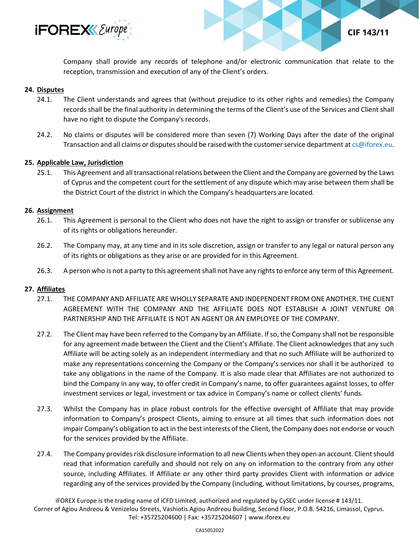

**CIF 143/11** 

Company shall provide any records of telephone and/or electronic communication that relate to the reception, transmission and execution of any of the Client's orders.

#### **24. Disputes**

- 24.1. The Client understands and agrees that (without prejudice to its other rights and remedies) the Company records shall be the final authority in determining the terms of the Client's use of the Services and Client shall have no right to dispute the Company's records.
- 24.2. No claims or disputes will be considered more than seven (7) Working Days after the date of the original Transaction and all claims or disputes should be raised with the customer service department a[t cs@iforex.eu.](mailto:cs@iforex.eu)

#### **25. Applicable Law, Jurisdiction**

25.1. This Agreement and all transactional relations between the Client and the Company are governed by the Laws of Cyprus and the competent court for the settlement of any dispute which may arise between them shall be the District Court of the district in which the Company's headquarters are located.

#### **26. Assignment**

- 26.1. This Agreement is personal to the Client who does not have the right to assign or transfer or sublicense any of its rights or obligations hereunder.
- 26.2. The Company may, at any time and in its sole discretion, assign or transfer to any legal or natural person any of its rights or obligations as they arise or are provided for in this Agreement.
- 26.3. A person who is not a party to this agreement shall not have any rights to enforce any term of this Agreement.

#### **27. Affiliates**

- 27.1. THE COMPANY AND AFFILIATE ARE WHOLLY SEPARATE AND INDEPENDENT FROM ONE ANOTHER. THE CLIENT AGREEMENT WITH THE COMPANY AND THE AFFILIATE DOES NOT ESTABLISH A JOINT VENTURE OR PARTNERSHIP AND THE AFFILIATE IS NOT AN AGENT OR AN EMPLOYEE OF THE COMPANY.
- 27.2. The Client may have been referred to the Company by an Affiliate. If so, the Company shall not be responsible for any agreement made between the Client and the Client's Affiliate. The Client acknowledges that any such Affiliate will be acting solely as an independent intermediary and that no such Affiliate will be authorized to make any representations concerning the Company or the Company's services nor shall it be authorized to take any obligations in the name of the Company. It is also made clear that Affiliates are not authorized to bind the Company in any way, to offer credit in Company's name, to offer guarantees against losses, to offer investment services or legal, investment or tax advice in Company's name or collect clients' funds.
- 27.3. Whilst the Company has in place robust controls for the effective oversight of Affiliate that may provide information to Company's prospect Clients, aiming to ensure at all times that such information does not impair Company's obligation to act in the best interests of the Client, the Company does not endorse or vouch for the services provided by the Affiliate.
- 27.4. The Company provides risk disclosure information to all new Clients when they open an account. Client should read that information carefully and should not rely on any on information to the contrary from any other source, including Affiliates. If Affiliate or any other third party provides Client with information or advice regarding any of the services provided by the Company (including, without limitations, by courses, programs,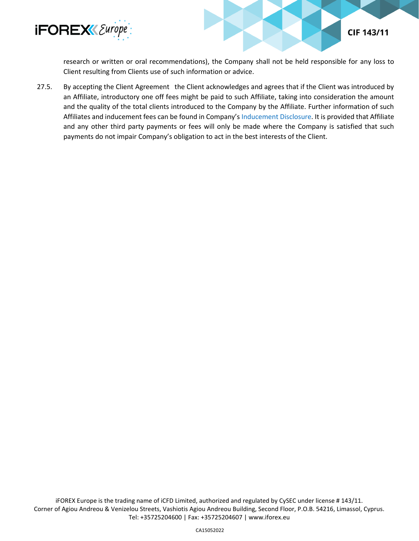

research or written or oral recommendations), the Company shall not be held responsible for any loss to Client resulting from Clients use of such information or advice.

**CIF 143/11** 

27.5. By accepting the Client Agreement the Client acknowledges and agrees that if the Client was introduced by an Affiliate, introductory one off fees might be paid to such Affiliate, taking into consideration the amount and the quality of the total clients introduced to the Company by the Affiliate. Further information of such Affiliates and inducement fees can be found in Company's [Inducement Disclosure.](https://www.iforex.eu/legal/inducements-disclosure.pdf) It is provided that Affiliate and any other third party payments or fees will only be made where the Company is satisfied that such payments do not impair Company's obligation to act in the best interests of the Client.